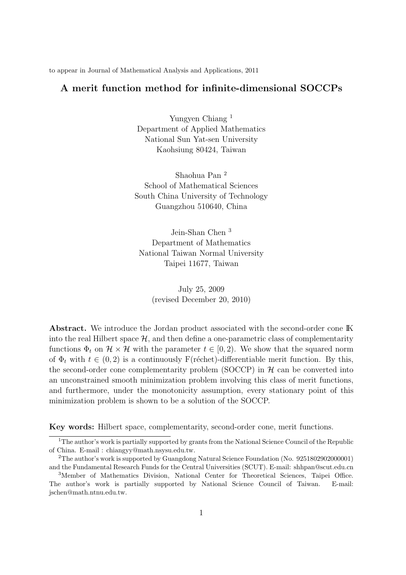to appear in Journal of Mathematical Analysis and Applications, 2011

#### **A merit function method for infinite-dimensional SOCCPs**

Yungyen Chiang <sup>1</sup> Department of Applied Mathematics National Sun Yat-sen University Kaohsiung 80424, Taiwan

Shaohua Pan <sup>2</sup> School of Mathematical Sciences South China University of Technology Guangzhou 510640, China

Jein-Shan Chen <sup>3</sup> Department of Mathematics National Taiwan Normal University Taipei 11677, Taiwan

> July 25, 2009 (revised December 20, 2010)

**Abstract.** We introduce the Jordan product associated with the second-order cone IK into the real Hilbert space  $H$ , and then define a one-parametric class of complementarity functions  $\Phi_t$  on  $\mathcal{H} \times \mathcal{H}$  with the parameter  $t \in [0, 2)$ . We show that the squared norm of  $\Phi_t$  with  $t \in (0, 2)$  is a continuously F(réchet)-differentiable merit function. By this, the second-order cone complementarity problem (SOCCP) in  $H$  can be converted into an unconstrained smooth minimization problem involving this class of merit functions, and furthermore, under the monotonicity assumption, every stationary point of this minimization problem is shown to be a solution of the SOCCP.

**Key words:** Hilbert space, complementarity, second-order cone, merit functions.

<sup>&</sup>lt;sup>1</sup>The author's work is partially supported by grants from the National Science Council of the Republic of China. E-mail : chiangyy@math.nsysu.edu.tw.

<sup>2</sup>The author's work is supported by Guangdong Natural Science Foundation (No. 9251802902000001) and the Fundamental Research Funds for the Central Universities (SCUT). E-mail: shhpan@scut.edu.cn

<sup>3</sup>Member of Mathematics Division, National Center for Theoretical Sciences, Taipei Office. The author's work is partially supported by National Science Council of Taiwan. E-mail: jschen@math.ntnu.edu.tw.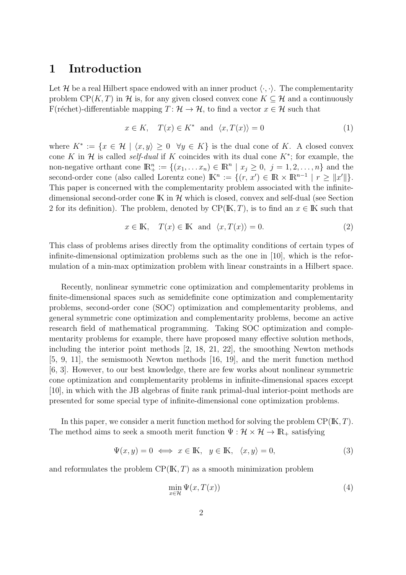# **1 Introduction**

Let *H* be a real Hilbert space endowed with an inner product  $\langle \cdot, \cdot \rangle$ . The complementarity problem  $CP(K, T)$  in *H* is, for any given closed convex cone  $K \subseteq H$  and a continuously F(réchet)-differentiable mapping  $T : \mathcal{H} \to \mathcal{H}$ , to find a vector  $x \in \mathcal{H}$  such that

$$
x \in K, \quad T(x) \in K^* \quad \text{and} \quad \langle x, T(x) \rangle = 0 \tag{1}
$$

where  $K^* := \{x \in \mathcal{H} \mid \langle x, y \rangle \geq 0 \ \forall y \in K\}$  is the dual cone of K. A closed convex cone *K* in  $H$  is called *self-dual* if *K* coincides with its dual cone  $K^*$ ; for example, the non-negative orthant cone  $\mathbb{R}^n_+ := \{(x_1, \ldots, x_n) \in \mathbb{R}^n \mid x_j \geq 0, \ j = 1, 2, \ldots, n\}$  and the second-order cone (also called Lorentz cone)  $\mathbb{K}^n := \{(r, x') \in \mathbb{R} \times \mathbb{R}^{n-1} \mid r \geq ||x'||\}.$ This paper is concerned with the complementarity problem associated with the infinitedimensional second-order cone IK in *H* which is closed, convex and self-dual (see Section 2 for its definition). The problem, denoted by  $\text{CP}(\mathbb{K}, T)$ , is to find an  $x \in \mathbb{K}$  such that

$$
x \in \mathbb{K}, \quad T(x) \in \mathbb{K} \quad \text{and} \quad \langle x, T(x) \rangle = 0. \tag{2}
$$

This class of problems arises directly from the optimality conditions of certain types of infinite-dimensional optimization problems such as the one in [10], which is the reformulation of a min-max optimization problem with linear constraints in a Hilbert space.

Recently, nonlinear symmetric cone optimization and complementarity problems in finite-dimensional spaces such as semidefinite cone optimization and complementarity problems, second-order cone (SOC) optimization and complementarity problems, and general symmetric cone optimization and complementarity problems, become an active research field of mathematical programming. Taking SOC optimization and complementarity problems for example, there have proposed many effective solution methods, including the interior point methods [2, 18, 21, 22], the smoothing Newton methods [5, 9, 11], the semismooth Newton methods [16, 19], and the merit function method [6, 3]. However, to our best knowledge, there are few works about nonlinear symmetric cone optimization and complementarity problems in infinite-dimensional spaces except [10], in which with the JB algebras of finite rank primal-dual interior-point methods are presented for some special type of infinite-dimensional cone optimization problems.

In this paper, we consider a merit function method for solving the problem CP(IK*, T*). The method aims to seek a smooth merit function  $\Psi : \mathcal{H} \times \mathcal{H} \to \mathbb{R}_+$  satisfying

$$
\Psi(x, y) = 0 \iff x \in \mathbb{K}, \quad y \in \mathbb{K}, \quad \langle x, y \rangle = 0,\tag{3}
$$

and reformulates the problem CP(IK*, T*) as a smooth minimization problem

$$
\min_{x \in \mathcal{H}} \Psi(x, T(x)) \tag{4}
$$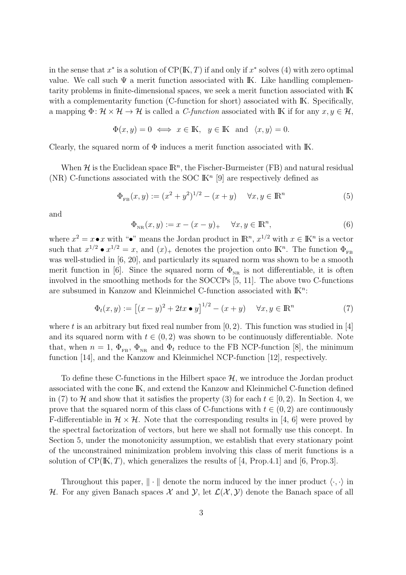in the sense that  $x^*$  is a solution of  $CP(K, T)$  if and only if  $x^*$  solves (4) with zero optimal value. We call such  $\Psi$  a merit function associated with K. Like handling complementarity problems in finite-dimensional spaces, we seek a merit function associated with IK with a complementarity function (C-function for short) associated with IK. Specifically, a mapping  $\Phi: \mathcal{H} \times \mathcal{H} \to \mathcal{H}$  is called a *C-function* associated with IK if for any  $x, y \in \mathcal{H}$ ,

$$
\Phi(x, y) = 0 \iff x \in \mathbb{K}, y \in \mathbb{K} \text{ and } \langle x, y \rangle = 0.
$$

Clearly, the squared norm of  $\Phi$  induces a merit function associated with IK.

When  $H$  is the Euclidean space  $\mathbb{R}^n$ , the Fischer-Burmeister (FB) and natural residual (NR) C-functions associated with the SOC  $\mathbb{K}^n$  [9] are respectively defined as

$$
\Phi_{FB}(x, y) := (x^2 + y^2)^{1/2} - (x + y) \quad \forall x, y \in \mathbb{R}^n
$$
\n(5)

and

$$
\Phi_{\rm NR}(x,y) := x - (x - y)_+ \quad \forall x, y \in \mathbb{R}^n,\tag{6}
$$

where  $x^2 = x \cdot x$  with " $\cdot^n$  means the Jordan product in  $\mathbb{R}^n$ ,  $x^{1/2}$  with  $x \in \mathbb{K}^n$  is a vector such that  $x^{1/2} \bullet x^{1/2} = x$ , and  $(x)$ <sub>+</sub> denotes the projection onto IK<sup>n</sup>. The function  $\Phi_{FB}$ was well-studied in [6, 20], and particularly its squared norm was shown to be a smooth merit function in [6]. Since the squared norm of  $\Phi_{NR}$  is not differentiable, it is often involved in the smoothing methods for the SOCCPs [5, 11]. The above two C-functions are subsumed in Kanzow and Kleinmichel C-function associated with IK*<sup>n</sup>* :

$$
\Phi_t(x, y) := [(x - y)^2 + 2tx \bullet y]^{1/2} - (x + y) \quad \forall x, y \in \mathbb{R}^n
$$
 (7)

where *t* is an arbitrary but fixed real number from  $[0, 2)$ . This function was studied in [4] and its squared norm with  $t \in (0, 2)$  was shown to be continuously differentiable. Note that, when  $n = 1$ ,  $\Phi_{FB}$ ,  $\Phi_{NB}$  and  $\Phi_t$  reduce to the FB NCP-function [8], the minimum function [14], and the Kanzow and Kleinmichel NCP-function [12], respectively.

To define these C-functions in the Hilbert space *H*, we introduce the Jordan product associated with the cone IK, and extend the Kanzow and Kleinmichel C-function defined in (7) to  $H$  and show that it satisfies the property (3) for each  $t \in [0, 2)$ . In Section 4, we prove that the squared norm of this class of C-functions with  $t \in (0, 2)$  are continuously F-differentiable in  $\mathcal{H} \times \mathcal{H}$ . Note that the corresponding results in [4, 6] were proved by the spectral factorization of vectors, but here we shall not formally use this concept. In Section 5, under the monotonicity assumption, we establish that every stationary point of the unconstrained minimization problem involving this class of merit functions is a solution of  $\text{CP}(\mathbb{K}, T)$ , which generalizes the results of [4, Prop.4.1] and [6, Prop.3].

Throughout this paper, *∥ · ∥* denote the norm induced by the inner product *⟨·, ·⟩* in *H*. For any given Banach spaces *X* and *Y*, let  $\mathcal{L}(\mathcal{X}, \mathcal{Y})$  denote the Banach space of all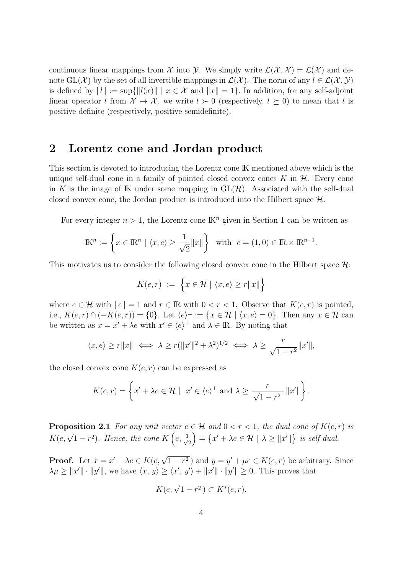continuous linear mappings from *X* into *Y*. We simply write  $\mathcal{L}(\mathcal{X}, \mathcal{X}) = \mathcal{L}(\mathcal{X})$  and denote  $GL(\mathcal{X})$  by the set of all invertible mappings in  $\mathcal{L}(\mathcal{X})$ . The norm of any  $l \in \mathcal{L}(\mathcal{X}, \mathcal{Y})$ is defined by  $||l|| := \sup{||l(x)|| \mid x \in \mathcal{X} \text{ and } ||x|| = 1}$ . In addition, for any self-adjoint linear operator *l* from  $\mathcal{X} \to \mathcal{X}$ , we write  $l \succ 0$  (respectively,  $l \succeq 0$ ) to mean that *l* is positive definite (respectively, positive semidefinite).

## **2 Lorentz cone and Jordan product**

This section is devoted to introducing the Lorentz cone IK mentioned above which is the unique self-dual cone in a family of pointed closed convex cones  $K$  in  $H$ . Every cone in K is the image of K under some mapping in  $GL(\mathcal{H})$ . Associated with the self-dual closed convex cone, the Jordan product is introduced into the Hilbert space *H*.

For every integer  $n > 1$ , the Lorentz cone  $\mathbb{K}^n$  given in Section 1 can be written as

$$
\mathbb{K}^n := \left\{ x \in \mathbb{R}^n \mid \langle x, e \rangle \ge \frac{1}{\sqrt{2}} \|x\| \right\} \quad \text{with} \quad e = (1, 0) \in \mathbb{R} \times \mathbb{R}^{n-1}.
$$

This motivates us to consider the following closed convex cone in the Hilbert space *H*:

$$
K(e,r) := \left\{ x \in \mathcal{H} \mid \langle x, e \rangle \ge r ||x|| \right\}
$$

where  $e \in \mathcal{H}$  with  $||e|| = 1$  and  $r \in \mathbb{R}$  with  $0 < r < 1$ . Observe that  $K(e, r)$  is pointed, i.e.,  $K(e,r) \cap (-K(e,r)) = \{0\}$ . Let  $\langle e \rangle^{\perp} := \{x \in \mathcal{H} \mid \langle x,e \rangle = 0\}$ . Then any  $x \in \mathcal{H}$  can be written as  $x = x' + \lambda e$  with  $x' \in \langle e \rangle^{\perp}$  and  $\lambda \in \mathbb{R}$ . By noting that

$$
\langle x, e \rangle \ge r ||x|| \iff \lambda \ge r (||x'||^2 + \lambda^2)^{1/2} \iff \lambda \ge \frac{r}{\sqrt{1 - r^2}} ||x'||,
$$

the closed convex cone  $K(e, r)$  can be expressed as

$$
K(e,r) = \left\{ x' + \lambda e \in \mathcal{H} \mid x' \in \langle e \rangle^{\perp} \text{ and } \lambda \ge \frac{r}{\sqrt{1 - r^2}} \|x'\| \right\}.
$$

**Proposition 2.1** *For any unit vector*  $e \in \mathcal{H}$  *and*  $0 < r < 1$ *, the dual cone of*  $K(e, r)$  *is K*(*e*,  $\sqrt{1-r^2}$ )*. Hence, the cone K* (*e*,  $\frac{1}{\sqrt{2}}$  $\overline{c}$  $\left\{ x' + \lambda e \in \mathcal{H} \mid \lambda \geq ||x'|| \right\}$  *is self-dual.* 

**Proof.** Let  $x = x' + \lambda e \in K(e, \sqrt{1-r^2})$  and  $y = y' + \mu e \in K(e, r)$  be arbitrary. Since  $\lambda \mu \geq ||x'|| \cdot ||y'||$ , we have  $\langle x, y \rangle \geq \langle x', y' \rangle + ||x'|| \cdot ||y'|| \geq 0$ . This proves that

$$
K(e, \sqrt{1-r^2}) \subset K^*(e, r).
$$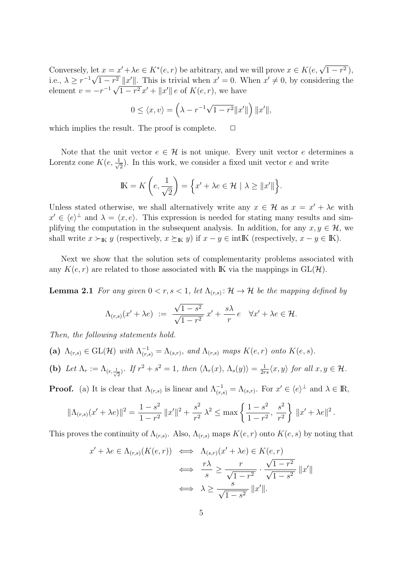Conversely, let  $x = x' + \lambda e \in K^*(e, r)$  be arbitrary, and we will prove  $x \in K(e, \sqrt{1-r^2})$ , i.e.,  $\lambda \geq r^{-1}\sqrt{1-r^2}||x'||$ . This is trivial when  $x' = 0$ . When  $x' \neq 0$ , by considering the element  $v = -r^{-1}\sqrt{1 - r^2}x' + ||x'||e$  of  $K(e, r)$ , we have

$$
0 \le \langle x, v \rangle = \left(\lambda - r^{-1}\sqrt{1 - r^2} ||x'||\right) ||x'||,
$$

which implies the result. The proof is complete.  $\Box$ 

Note that the unit vector  $e \in \mathcal{H}$  is not unique. Every unit vector *e* determines a Lorentz cone  $K(e, \frac{1}{\sqrt{e}})$  $\frac{1}{2}$ ). In this work, we consider a fixed unit vector *e* and write

$$
\mathbb{K} = K\left(e, \frac{1}{\sqrt{2}}\right) = \left\{x' + \lambda e \in \mathcal{H} \mid \lambda \ge ||x'||\right\}.
$$

Unless stated otherwise, we shall alternatively write any  $x \in \mathcal{H}$  as  $x = x' + \lambda e$  with  $x' \in \langle e \rangle$ <sup> $\perp$ </sup> and  $\lambda = \langle x, e \rangle$ . This expression is needed for stating many results and simplifying the computation in the subsequent analysis. In addition, for any  $x, y \in \mathcal{H}$ , we shall write  $x \succ_{\mathbb{K}} y$  (respectively,  $x \succeq_{\mathbb{K}} y$ ) if  $x - y \in \text{int} \mathbb{K}$  (respectively,  $x - y \in \mathbb{K}$ ).

Next we show that the solution sets of complementarity problems associated with any  $K(e, r)$  are related to those associated with IK via the mappings in  $GL(\mathcal{H})$ .

**Lemma 2.1** *For any given*  $0 < r, s < 1$ *, let*  $\Lambda_{(r,s)}$ :  $\mathcal{H} \to \mathcal{H}$  *be the mapping defined by* 

$$
\Lambda_{(r,s)}(x' + \lambda e) \; := \; \frac{\sqrt{1 - s^2}}{\sqrt{1 - r^2}} \, x' + \frac{s\lambda}{r} \, e \quad \forall x' + \lambda e \in \mathcal{H}.
$$

*Then, the following statements hold.*

- (a)  $\Lambda_{(r,s)} \in \text{GL}(\mathcal{H})$  *with*  $\Lambda_{(r,s)}^{-1} = \Lambda_{(s,r)}$ , and  $\Lambda_{(r,s)}$  *maps*  $K(e,r)$  *onto*  $K(e,s)$ *.*
- (b) Let  $\Lambda_r := \Lambda_{(r,\frac{1}{\sqrt{2}})}$ . If  $r^2 + s^2 = 1$ , then  $\langle \Lambda_r(x), \Lambda_s(y) \rangle = \frac{1}{2r}$  $\frac{1}{2rs}\langle x,y\rangle$  for all  $x,y\in\mathcal{H}$ .

**Proof.** (a) It is clear that  $\Lambda_{(r,s)}$  is linear and  $\Lambda_{(r,s)}^{-1} = \Lambda_{(s,r)}$ . For  $x' \in \langle e \rangle^{\perp}$  and  $\lambda \in \mathbb{R}$ ,

$$
\|\Lambda_{(r,s)}(x'+\lambda e)\|^2 = \frac{1-s^2}{1-r^2} \|x'\|^2 + \frac{s^2}{r^2} \lambda^2 \le \max\left\{\frac{1-s^2}{1-r^2}, \frac{s^2}{r^2}\right\} \|x'+\lambda e\|^2.
$$

This proves the continuity of  $\Lambda_{(r,s)}$ . Also,  $\Lambda_{(r,s)}$  maps  $K(e,r)$  onto  $K(e,s)$  by noting that

$$
x' + \lambda e \in \Lambda_{(r,s)}(K(e,r)) \iff \Lambda_{(s,r)}(x' + \lambda e) \in K(e,r)
$$
  

$$
\iff \frac{r\lambda}{s} \ge \frac{r}{\sqrt{1-r^2}} \cdot \frac{\sqrt{1-r^2}}{\sqrt{1-s^2}} \|x'\|
$$
  

$$
\iff \lambda \ge \frac{s}{\sqrt{1-s^2}} \|x'\|.
$$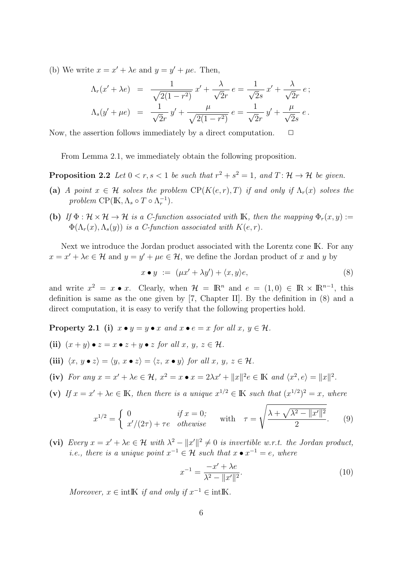(b) We write  $x = x' + \lambda e$  and  $y = y' + \mu e$ . Then,

$$
\Lambda_r(x' + \lambda e) = \frac{1}{\sqrt{2(1 - r^2)}} x' + \frac{\lambda}{\sqrt{2}r} e = \frac{1}{\sqrt{2}s} x' + \frac{\lambda}{\sqrt{2}r} e ;
$$
  

$$
\Lambda_s(y' + \mu e) = \frac{1}{\sqrt{2}r} y' + \frac{\mu}{\sqrt{2(1 - r^2)}} e = \frac{1}{\sqrt{2}r} y' + \frac{\mu}{\sqrt{2}s} e .
$$

Now, the assertion follows immediately by a direct computation.  $\Box$ 

From Lemma 2.1, we immediately obtain the following proposition.

**Proposition 2.2** *Let*  $0 < r, s < 1$  *be such that*  $r^2 + s^2 = 1$ *, and*  $T: \mathcal{H} \to \mathcal{H}$  *be given.* 

- **(a)** *A point*  $x \in \mathcal{H}$  *solves the problem*  $\text{CP}(K(e,r),T)$  *if and only if*  $\Lambda_r(x)$  *solves the problem*  $CP(K, \Lambda_s \circ T \circ \Lambda_r^{-1}).$
- **(b)** *If*  $\Phi : \mathcal{H} \times \mathcal{H} \to \mathcal{H}$  *is a C-function associated with* **IK***, then the mapping*  $\Phi_r(x, y) :=$  $\Phi(\Lambda_r(x), \Lambda_s(y))$  *is a C-function associated with*  $K(e, r)$ *.*

Next we introduce the Jordan product associated with the Lorentz cone IK. For any  $x = x' + \lambda e \in \mathcal{H}$  and  $y = y' + \mu e \in \mathcal{H}$ , we define the Jordan product of *x* and *y* by

$$
x \bullet y := (\mu x' + \lambda y') + \langle x, y \rangle e, \tag{8}
$$

and write  $x^2 = x \bullet x$ . Clearly, when  $\mathcal{H} = \mathbb{R}^n$  and  $e = (1,0) \in \mathbb{R} \times \mathbb{R}^{n-1}$ , this definition is same as the one given by [7, Chapter II]. By the definition in (8) and a direct computation, it is easy to verify that the following properties hold.

**Property 2.1** (i)  $x \bullet y = y \bullet x$  and  $x \bullet e = x$  for all  $x, y \in \mathcal{H}$ .

- (ii)  $(x + y) \bullet z = x \bullet z + y \bullet z$  *for all x, y, z*  $\in \mathcal{H}$ *.*
- (iii)  $\langle x, y \bullet z \rangle = \langle y, x \bullet z \rangle = \langle z, x \bullet y \rangle$  for all  $x, y, z \in \mathcal{H}$ .
- (iv) For any  $x = x' + \lambda e \in \mathcal{H}$ ,  $x^2 = x \bullet x = 2\lambda x' + ||x||^2 e \in \mathbb{K}$  and  $\langle x^2, e \rangle = ||x||^2$ .
- (v) If  $x = x' + \lambda e \in \mathbb{K}$ , then there is a unique  $x^{1/2} \in \mathbb{K}$  such that  $(x^{1/2})^2 = x$ , where

$$
x^{1/2} = \begin{cases} 0 & \text{if } x = 0; \\ x'/(2\tau) + \tau e & \text{otherwise} \end{cases} \quad \text{with} \quad \tau = \sqrt{\frac{\lambda + \sqrt{\lambda^2 - ||x'||^2}}{2}}. \tag{9}
$$

(vi) *Every*  $x = x' + \lambda e \in \mathcal{H}$  *with*  $\lambda^2 - ||x'||^2 \neq 0$  *is invertible w.r.t. the Jordan product, i.e., there is a unique point*  $x^{-1} \in \mathcal{H}$  *such that*  $x \bullet x^{-1} = e$ *, where* 

$$
x^{-1} = \frac{-x' + \lambda e}{\lambda^2 - ||x'||^2}.
$$
 (10)

*Moreover,*  $x \in \text{int } \mathbb{K}$  *if and only if*  $x^{-1} \in \text{int } \mathbb{K}$ .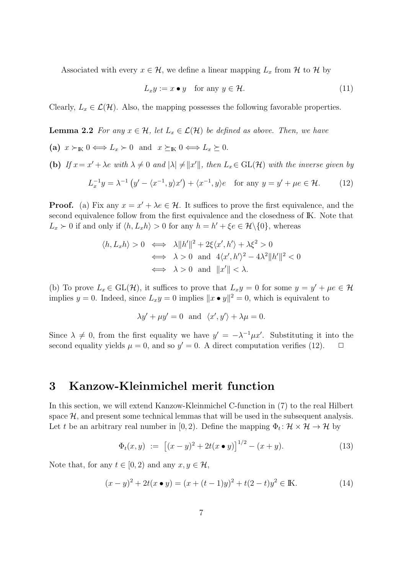Associated with every  $x \in \mathcal{H}$ , we define a linear mapping  $L_x$  from  $\mathcal{H}$  to  $\mathcal{H}$  by

$$
L_x y := x \bullet y \quad \text{for any } y \in \mathcal{H}.\tag{11}
$$

Clearly,  $L_x \in \mathcal{L}(\mathcal{H})$ . Also, the mapping possesses the following favorable properties.

**Lemma 2.2** *For any*  $x \in \mathcal{H}$ *, let*  $L_x \in \mathcal{L}(\mathcal{H})$  *be defined as above. Then, we have* 

(a)  $x \succ_{\mathbb{K}} 0 \Longleftrightarrow L_x \succ 0$  and  $x \succeq_{\mathbb{K}} 0 \Longleftrightarrow L_x \succeq 0$ . (b) If  $x = x' + \lambda e$  with  $\lambda \neq 0$  and  $|\lambda| \neq ||x'||$ , then  $L_x \in GL(\mathcal{H})$  with the inverse given by  $L_x^{-1}y = \lambda^{-1} (y' - \langle x^{-1}, y \rangle x') + \langle x^{-1}, y \rangle e$  for any  $y = y' + \mu e \in \mathcal{H}$ . (12)

**Proof.** (a) Fix any  $x = x' + \lambda e \in \mathcal{H}$ . It suffices to prove the first equivalence, and the second equivalence follow from the first equivalence and the closedness of IK. Note that  $L_x \succ 0$  if and only if  $\langle h, L_x h \rangle > 0$  for any  $h = h' + \xi e \in \mathcal{H} \setminus \{0\}$ , whereas

$$
\langle h, L_x h \rangle > 0 \iff \lambda \|h'\|^2 + 2\xi \langle x', h' \rangle + \lambda \xi^2 > 0
$$
  

$$
\iff \lambda > 0 \text{ and } 4\langle x', h' \rangle^2 - 4\lambda^2 \|h'\|^2 < 0
$$
  

$$
\iff \lambda > 0 \text{ and } \|x'\| < \lambda.
$$

(b) To prove  $L_x \in GL(\mathcal{H})$ , it suffices to prove that  $L_x y = 0$  for some  $y = y' + \mu e \in \mathcal{H}$ implies *y* = 0. Indeed, since  $L_x y = 0$  implies  $||x \cdot y||^2 = 0$ , which is equivalent to

$$
\lambda y' + \mu y' = 0 \text{ and } \langle x', y' \rangle + \lambda \mu = 0.
$$

Since  $\lambda \neq 0$ , from the first equality we have  $y' = -\lambda^{-1} \mu x'$ . Substituting it into the second equality yields  $\mu = 0$ , and so  $y' = 0$ . A direct computation verifies (12).  $\Box$ 

# **3 Kanzow-Kleinmichel merit function**

In this section, we will extend Kanzow-Kleinmichel C-function in (7) to the real Hilbert space  $H$ , and present some technical lemmas that will be used in the subsequent analysis. Let *t* be an arbitrary real number in [0, 2). Define the mapping  $\Phi_t: \mathcal{H} \times \mathcal{H} \to \mathcal{H}$  by

$$
\Phi_t(x, y) := [(x - y)^2 + 2t(x \bullet y)]^{1/2} - (x + y). \tag{13}
$$

Note that, for any  $t \in [0, 2)$  and any  $x, y \in \mathcal{H}$ ,

$$
(x - y)^2 + 2t(x \bullet y) = (x + (t - 1)y)^2 + t(2 - t)y^2 \in \mathbb{K}.
$$
 (14)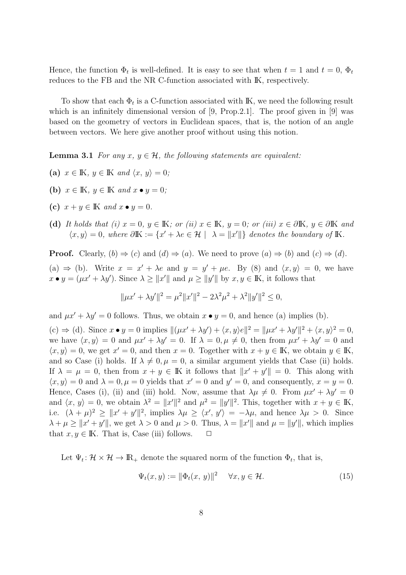Hence, the function  $\Phi_t$  is well-defined. It is easy to see that when  $t = 1$  and  $t = 0$ ,  $\Phi_t$ reduces to the FB and the NR C-function associated with IK, respectively.

To show that each  $\Phi_t$  is a C-function associated with IK, we need the following result which is an infinitely dimensional version of  $[9, Prop.2.1]$ . The proof given in  $[9]$  was based on the geometry of vectors in Euclidean spaces, that is, the notion of an angle between vectors. We here give another proof without using this notion.

**Lemma 3.1** *For any*  $x, y \in \mathcal{H}$ *, the following statements are equivalent:* 

- (a)  $x \in \mathbb{K}$ ,  $y \in \mathbb{K}$  and  $\langle x, y \rangle = 0$ ;
- **(b)**  $x \in \mathbb{K}$ ,  $y \in \mathbb{K}$  and  $x \bullet y = 0$ ;
- **(c)**  $x + y \in \mathbb{K}$  and  $x \bullet y = 0$ .
- (d) It holds that (i)  $x = 0$ ,  $y \in \mathbb{K}$ ; or (ii)  $x \in \mathbb{K}$ ,  $y = 0$ ; or (iii)  $x \in \partial \mathbb{K}$ ,  $y \in \partial \mathbb{K}$  and  $\langle x, y \rangle = 0$ , where  $\partial \mathbb{K} := \{x' + \lambda e \in \mathcal{H} \mid \lambda = ||x'||\}$  denotes the boundary of K.

**Proof.** Clearly,  $(b) \Rightarrow (c)$  and  $(d) \Rightarrow (a)$ . We need to prove  $(a) \Rightarrow (b)$  and  $(c) \Rightarrow (d)$ . (a)  $\Rightarrow$  (b). Write  $x = x' + \lambda e$  and  $y = y' + \mu e$ . By (8) and  $\langle x, y \rangle = 0$ , we have  $x \bullet y = (\mu x' + \lambda y')$ . Since  $\lambda \geq ||x'||$  and  $\mu \geq ||y'||$  by  $x, y \in \mathbb{K}$ , it follows that

$$
\|\mu x' + \lambda y'\|^2 = \mu^2 \|x'\|^2 - 2\lambda^2 \mu^2 + \lambda^2 \|y'\|^2 \le 0,
$$

and  $\mu x' + \lambda y' = 0$  follows. Thus, we obtain  $x \bullet y = 0$ , and hence (a) implies (b).

(c)  $\Rightarrow$  (d). Since  $x \bullet y = 0$  implies  $\|(\mu x' + \lambda y') + \langle x, y \rangle e\|^2 = \|\mu x' + \lambda y'\|^2 + \langle x, y \rangle^2 = 0$ , we have  $\langle x, y \rangle = 0$  and  $\mu x' + \lambda y' = 0$ . If  $\lambda = 0, \mu \neq 0$ , then from  $\mu x' + \lambda y' = 0$  and  $\langle x, y \rangle = 0$ , we get  $x' = 0$ , and then  $x = 0$ . Together with  $x + y \in \mathbb{K}$ , we obtain  $y \in \mathbb{K}$ , and so Case (i) holds. If  $\lambda \neq 0, \mu = 0$ , a similar argument yields that Case (ii) holds. If  $\lambda = \mu = 0$ , then from  $x + y \in \mathbb{K}$  it follows that  $||x' + y'|| = 0$ . This along with  $\langle x, y \rangle = 0$  and  $\lambda = 0, \mu = 0$  yields that  $x' = 0$  and  $y' = 0$ , and consequently,  $x = y = 0$ . Hence, Cases (i), (ii) and (iii) hold. Now, assume that  $\lambda \mu \neq 0$ . From  $\mu x' + \lambda y' = 0$ and  $\langle x, y \rangle = 0$ , we obtain  $\lambda^2 = ||x'||^2$  and  $\mu^2 = ||y'||^2$ . This, together with  $x + y \in \mathbb{K}$ , i.e.  $(\lambda + \mu)^2 \ge ||x' + y'||^2$ , implies  $\lambda \mu \ge \langle x', y' \rangle = -\lambda \mu$ , and hence  $\lambda \mu > 0$ . Since  $\lambda + \mu \ge ||x' + y'||$ , we get  $\lambda > 0$  and  $\mu > 0$ . Thus,  $\lambda = ||x'||$  and  $\mu = ||y'||$ , which implies that  $x, y \in \mathbb{K}$ . That is, Case (iii) follows.  $\Box$ 

Let  $\Psi_t: \mathcal{H} \times \mathcal{H} \to \mathbb{R}_+$  denote the squared norm of the function  $\Phi_t$ , that is,

$$
\Psi_t(x, y) := \|\Phi_t(x, y)\|^2 \quad \forall x, y \in \mathcal{H}.\tag{15}
$$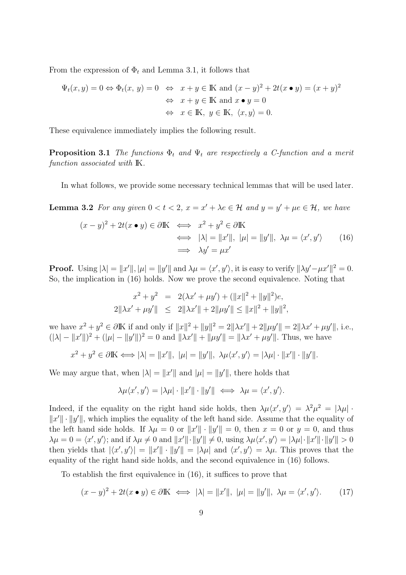From the expression of  $\Phi_t$  and Lemma 3.1, it follows that

$$
\Psi_t(x, y) = 0 \Leftrightarrow \Phi_t(x, y) = 0 \Leftrightarrow x + y \in \mathbb{K} \text{ and } (x - y)^2 + 2t(x \bullet y) = (x + y)^2
$$

$$
\Leftrightarrow x + y \in \mathbb{K} \text{ and } x \bullet y = 0
$$

$$
\Leftrightarrow x \in \mathbb{K}, y \in \mathbb{K}, \langle x, y \rangle = 0.
$$

These equivalence immediately implies the following result.

**Proposition 3.1** *The functions*  $\Phi_t$  *and*  $\Psi_t$  *are respectively a C-function and a merit function associated with* IK*.*

In what follows, we provide some necessary technical lemmas that will be used later.

**Lemma 3.2** For any given  $0 < t < 2$ ,  $x = x' + \lambda e \in \mathcal{H}$  and  $y = y' + \mu e \in \mathcal{H}$ , we have

$$
(x - y)^2 + 2t(x \bullet y) \in \partial \mathbb{K} \iff x^2 + y^2 \in \partial \mathbb{K}
$$
  

$$
\iff |\lambda| = ||x'||, |\mu| = ||y'||, \ \lambda \mu = \langle x', y' \rangle \qquad (16)
$$
  

$$
\implies \lambda y' = \mu x'
$$

**Proof.** Using  $|\lambda| = ||x'||, |\mu| = ||y'||$  and  $\lambda\mu = \langle x', y' \rangle$ , it is easy to verify  $||\lambda y' - \mu x'||^2 = 0$ . So, the implication in (16) holds. Now we prove the second equivalence. Noting that

$$
x^{2} + y^{2} = 2(\lambda x' + \mu y') + (\|x\|^{2} + \|y\|^{2})e,
$$
  

$$
2\|\lambda x' + \mu y'\| \leq 2\|\lambda x'\| + 2\|\mu y'\| \leq \|x\|^{2} + \|y\|^{2},
$$

we have  $x^2 + y^2 \in \partial \mathbb{K}$  if and only if  $||x||^2 + ||y||^2 = 2||\lambda x'|| + 2||\mu y'|| = 2||\lambda x' + \mu y'||$ , i.e.,  $(|\lambda| - ||x'||)^2 + (|\mu| - ||y'||)^2 = 0$  and  $||\lambda x'|| + ||\mu y'|| = ||\lambda x' + \mu y'||$ . Thus, we have

$$
x^2 + y^2 \in \partial \mathbb{K} \Longleftrightarrow |\lambda| = ||x'||, \ |\mu| = ||y'||, \ \lambda \mu \langle x', y' \rangle = |\lambda \mu| \cdot ||x'|| \cdot ||y'||.
$$

We may argue that, when  $|\lambda| = ||x'||$  and  $|\mu| = ||y'||$ , there holds that

$$
\lambda \mu \langle x', y' \rangle = |\lambda \mu| \cdot ||x'|| \cdot ||y'|| \iff \lambda \mu = \langle x', y' \rangle.
$$

Indeed, if the equality on the right hand side holds, then  $\lambda \mu \langle x', y' \rangle = \lambda^2 \mu^2 = |\lambda \mu|$ . *||x'*|| · ||y'||, which implies the equality of the left hand side. Assume that the equality of the left hand side holds. If  $\lambda \mu = 0$  or  $||x'|| \cdot ||y'|| = 0$ , then  $x = 0$  or  $y = 0$ , and thus  $\lambda\mu=0=\langle x',y'\rangle$ ; and if  $\lambda\mu\neq 0$  and  $||x'||\cdot||y'||\neq 0$ , using  $\lambda\mu\langle x',y'\rangle=|\lambda\mu|\cdot||x'||\cdot||y'||>0$ then yields that  $|\langle x', y' \rangle| = ||x'|| \cdot ||y'|| = |\lambda \mu|$  and  $\langle x', y' \rangle = \lambda \mu$ . This proves that the equality of the right hand side holds, and the second equivalence in (16) follows.

To establish the first equivalence in (16), it suffices to prove that

$$
(x - y)^2 + 2t(x \bullet y) \in \partial \mathbb{K} \iff |\lambda| = ||x'||, \ |\mu| = ||y'||, \ \lambda \mu = \langle x', y' \rangle. \tag{17}
$$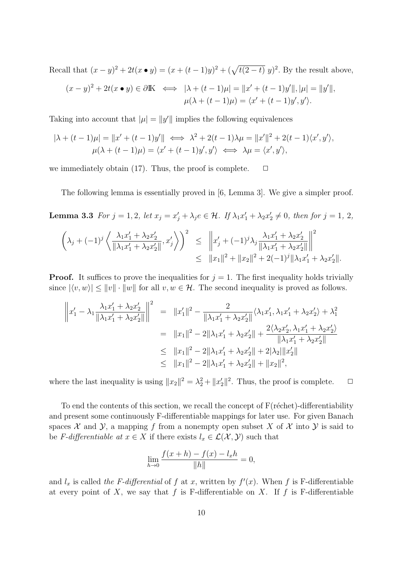Recall that  $(x - y)^2 + 2t(x \cdot y) = (x + (t - 1)y)^2 + (\sqrt{t(2 - t)} y)^2$ . By the result above,

$$
(x-y)^2 + 2t(x \bullet y) \in \partial \mathbb{K} \iff |\lambda + (t-1)\mu| = ||x' + (t-1)y'||, |\mu| = ||y'||,
$$
  

$$
\mu(\lambda + (t-1)\mu) = \langle x' + (t-1)y', y' \rangle.
$$

Taking into account that  $|\mu| = ||y'||$  implies the following equivalences

$$
|\lambda + (t-1)\mu| = ||x' + (t-1)y'|| \iff \lambda^2 + 2(t-1)\lambda\mu = ||x'||^2 + 2(t-1)\langle x', y' \rangle,
$$
  

$$
\mu(\lambda + (t-1)\mu) = \langle x' + (t-1)y', y' \rangle \iff \lambda\mu = \langle x', y' \rangle,
$$

we immediately obtain  $(17)$ . Thus, the proof is complete.  $\Box$ 

The following lemma is essentially proved in [6, Lemma 3]. We give a simpler proof.

**Lemma 3.3** For  $j = 1, 2$ , let  $x_j = x'_j + \lambda_j e \in \mathcal{H}$ . If  $\lambda_1 x'_1 + \lambda_2 x'_2 \neq 0$ , then for  $j = 1, 2$ ,

$$
\left(\lambda_j + (-1)^j \left\langle \frac{\lambda_1 x_1' + \lambda_2 x_2'}{\|\lambda_1 x_1' + \lambda_2 x_2'\|}, x_j'\right\rangle\right)^2 \leq \|x_j' + (-1)^j \lambda_j \frac{\lambda_1 x_1' + \lambda_2 x_2'}{\|\lambda_1 x_1' + \lambda_2 x_2'\|}\bigg\|^2 \leq \|x_1\|^2 + \|x_2\|^2 + 2(-1)^j \|\lambda_1 x_1' + \lambda_2 x_2'\|.
$$

**Proof.** It suffices to prove the inequalities for  $j = 1$ . The first inequality holds trivially since  $|\langle v, w \rangle| \le ||v|| \cdot ||w||$  for all  $v, w \in \mathcal{H}$ . The second inequality is proved as follows.

$$
\begin{aligned}\n\left\|x_1' - \lambda_1 \frac{\lambda_1 x_1' + \lambda_2 x_2'}{\|\lambda_1 x_1' + \lambda_2 x_2'\|}\right\|^2 &= \|x_1'\|^2 - \frac{2}{\|\lambda_1 x_1' + \lambda_2 x_2'\|} \langle \lambda_1 x_1', \lambda_1 x_1' + \lambda_2 x_2' \rangle + \lambda_1^2 \\
&= \|x_1\|^2 - 2\|\lambda_1 x_1' + \lambda_2 x_2'\| + \frac{2\langle \lambda_2 x_2', \lambda_1 x_1' + \lambda_2 x_2' \rangle}{\|\lambda_1 x_1' + \lambda_2 x_2'\|} \\
&\le \|x_1\|^2 - 2\|\lambda_1 x_1' + \lambda_2 x_2'\| + 2\|\lambda_2\| \|x_2'\| \\
&\le \|x_1\|^2 - 2\|\lambda_1 x_1' + \lambda_2 x_2'\| + \|x_2\|^2,\n\end{aligned}
$$

where the last inequality is using  $||x_2||^2 = \lambda_2^2 + ||x_2'||^2$ . Thus, the proof is complete.  $\Box$ 

To end the contents of this section, we recall the concept of  $F(r\acute{e}chet)$ -differentiability and present some continuously F-differentiable mappings for later use. For given Banach spaces  $X$  and  $Y$ , a mapping f from a nonempty open subset X of X into  $Y$  is said to be *F-differentiable at*  $x \in X$  if there exists  $l_x \in \mathcal{L}(\mathcal{X}, \mathcal{Y})$  such that

$$
\lim_{h \to 0} \frac{f(x+h) - f(x) - l_x h}{\|h\|} = 0,
$$

and  $l_x$  is called *the F-differential* of  $f$  at  $x$ , written by  $f'(x)$ . When  $f$  is F-differentiable at every point of  $X$ , we say that  $f$  is F-differentiable on  $X$ . If  $f$  is F-differentiable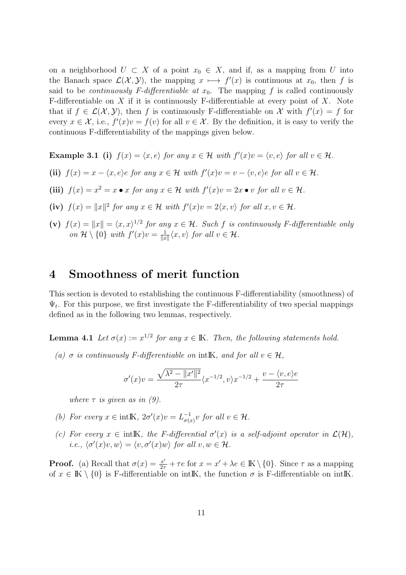on a neighborhood  $U \subset X$  of a point  $x_0 \in X$ , and if, as a mapping from  $U$  into the Banach space  $\mathcal{L}(\mathcal{X}, \mathcal{Y})$ , the mapping  $x \mapsto f'(x)$  is continuous at  $x_0$ , then f is said to be *continuously F-differentiable at*  $x_0$ . The mapping f is called continuously F-differentiable on *X* if it is continuously F-differentiable at every point of *X*. Note that if  $f \in \mathcal{L}(\mathcal{X}, \mathcal{Y})$ , then f is continuously F-differentiable on X with  $f'(x) = f$  for every  $x \in \mathcal{X}$ , i.e.,  $f'(x)v = f(v)$  for all  $v \in \mathcal{X}$ . By the definition, it is easy to verify the continuous F-differentiability of the mappings given below.

**Example 3.1** (i)  $f(x) = \langle x, e \rangle$  for any  $x \in \mathcal{H}$  with  $f'(x)v = \langle v, e \rangle$  for all  $v \in \mathcal{H}$ .

- (ii)  $f(x) = x \langle x, e \rangle e$  for any  $x \in \mathcal{H}$  with  $f'(x)v = v \langle v, e \rangle e$  for all  $v \in \mathcal{H}$ .
- (iii)  $f(x) = x^2 = x \bullet x$  for any  $x \in \mathcal{H}$  with  $f'(x)v = 2x \bullet v$  for all  $v \in \mathcal{H}$ .
- **(iv)**  $f(x) = ||x||^2$  *for any*  $x \in \mathcal{H}$  *with*  $f'(x)v = 2\langle x, v \rangle$  *for all*  $x, v \in \mathcal{H}$ *.*
- (v)  $f(x) = ||x|| = \langle x, x \rangle^{1/2}$  for any  $x \in \mathcal{H}$ . Such f is continuously F-differentiable only *on*  $\mathcal{H} \setminus \{0\}$  *with*  $f'(x)v = \frac{1}{\|x\|}$  $\frac{1}{\|x\|}\langle x, v \rangle$  *for all*  $v \in \mathcal{H}$ *.*

### **4 Smoothness of merit function**

This section is devoted to establishing the continuous F-differentiability (smoothness) of  $\Psi_t$ . For this purpose, we first investigate the F-differentiability of two special mappings defined as in the following two lemmas, respectively.

**Lemma 4.1** *Let*  $\sigma(x) := x^{1/2}$  *for any*  $x \in \mathbb{K}$ *. Then, the following statements hold.* 

*(a)*  $\sigma$  *is continuously F-differentiable on* intIK, and for all  $v \in \mathcal{H}$ ,

$$
\sigma'(x)v = \frac{\sqrt{\lambda^2 - ||x'||^2}}{2\tau} \langle x^{-1/2}, v \rangle x^{-1/2} + \frac{v - \langle v, e \rangle e}{2\tau}
$$

*where*  $\tau$  *is given as in (9).* 

- *(b) For every*  $x \in \text{int} \mathbb{K}$ *,*  $2\sigma'(x)v = L^{-1}_{\sigma(x)}v$  *for all*  $v \in \mathcal{H}$ *.*
- *(c)* For every  $x \in \text{intK}$ , the F-differential  $\sigma'(x)$  is a self-adjoint operator in  $\mathcal{L}(\mathcal{H})$ ,  $i.e., \langle \sigma'(x)v, w \rangle = \langle v, \sigma'(x)w \rangle$  for all  $v, w \in \mathcal{H}$ .

**Proof.** (a) Recall that  $\sigma(x) = \frac{x'}{2\tau} + \tau e$  for  $x = x' + \lambda e \in \mathbb{K} \setminus \{0\}$ . Since  $\tau$  as a mapping of  $x \in K \setminus \{0\}$  is F-differentiable on intIK, the function  $\sigma$  is F-differentiable on intIK.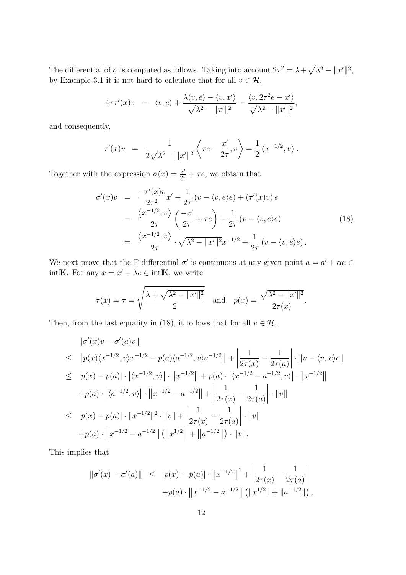The differential of  $\sigma$  is computed as follows. Taking into account  $2\tau^2 = \lambda + \sqrt{\lambda^2 - ||x'||^2}$ , by Example 3.1 it is not hard to calculate that for all  $v \in \mathcal{H}$ ,

$$
4\tau\tau'(x)v = \langle v, e \rangle + \frac{\lambda \langle v, e \rangle - \langle v, x' \rangle}{\sqrt{\lambda^2 - ||x'||^2}} = \frac{\langle v, 2\tau^2 e - x' \rangle}{\sqrt{\lambda^2 - ||x'||^2}},
$$

and consequently,

$$
\tau'(x)v = \frac{1}{2\sqrt{\lambda^2 - ||x'||^2}} \left\langle \tau e - \frac{x'}{2\tau}, v \right\rangle = \frac{1}{2} \left\langle x^{-1/2}, v \right\rangle.
$$

Together with the expression  $\sigma(x) = \frac{x'}{2\tau} + \tau e$ , we obtain that

$$
\sigma'(x)v = \frac{-\tau'(x)v}{2\tau^2}x' + \frac{1}{2\tau}(v - \langle v, e \rangle e) + (\tau'(x)v)e
$$
  
\n
$$
= \frac{\langle x^{-1/2}, v \rangle}{2\tau} \left(\frac{-x'}{2\tau} + \tau e\right) + \frac{1}{2\tau}(v - \langle v, e \rangle e)
$$
  
\n
$$
= \frac{\langle x^{-1/2}, v \rangle}{2\tau} \cdot \sqrt{\lambda^2 - ||x'||^2}x^{-1/2} + \frac{1}{2\tau}(v - \langle v, e \rangle e).
$$
\n(18)

We next prove that the F-differential  $\sigma'$  is continuous at any given point  $a = a' + \alpha e \in$ intIK. For any  $x = x' + \lambda e \in \text{intIK}$ , we write

$$
\tau(x) = \tau = \sqrt{\frac{\lambda + \sqrt{\lambda^2 - ||x'||^2}}{2}}
$$
 and  $p(x) = \frac{\sqrt{\lambda^2 - ||x'||^2}}{2\tau(x)}$ .

Then, from the last equality in (18), it follows that for all  $v \in \mathcal{H}$ ,

$$
\|\sigma'(x)v - \sigma'(a)v\|
$$
  
\n
$$
\leq \|\pmb{p}(x)\langle x^{-1/2}, v\rangle x^{-1/2} - \pmb{p}(a)\langle a^{-1/2}, v\rangle a^{-1/2}\| + \left|\frac{1}{2\tau(x)} - \frac{1}{2\tau(a)}\right| \cdot \|v - \langle v, e\rangle e\|
$$
  
\n
$$
\leq |\pmb{p}(x) - \pmb{p}(a)| \cdot |\langle x^{-1/2}, v\rangle| \cdot \|x^{-1/2}\| + \pmb{p}(a) \cdot |\langle x^{-1/2} - a^{-1/2}, v\rangle| \cdot \|x^{-1/2}\|
$$
  
\n
$$
+ \pmb{p}(a) \cdot |\langle a^{-1/2}, v\rangle| \cdot \|x^{-1/2} - a^{-1/2}\| + \left|\frac{1}{2\tau(x)} - \frac{1}{2\tau(a)}\right| \cdot \|v\|
$$
  
\n
$$
\leq |\pmb{p}(x) - \pmb{p}(a)| \cdot \|x^{-1/2}\|^2 \cdot \|v\| + \left|\frac{1}{2\tau(x)} - \frac{1}{2\tau(a)}\right| \cdot \|v\|
$$
  
\n
$$
+ \pmb{p}(a) \cdot \|x^{-1/2} - a^{-1/2}\| (\|x^{1/2}\| + \|a^{-1/2}\|) \cdot \|v\|.
$$

This implies that

$$
\|\sigma'(x) - \sigma'(a)\| \leq |p(x) - p(a)| \cdot \|x^{-1/2}\|^2 + \left|\frac{1}{2\tau(x)} - \frac{1}{2\tau(a)}\right|
$$
  
+p(a) \cdot \|x^{-1/2} - a^{-1/2}\| (\|x^{1/2}\| + \|a^{-1/2}\|),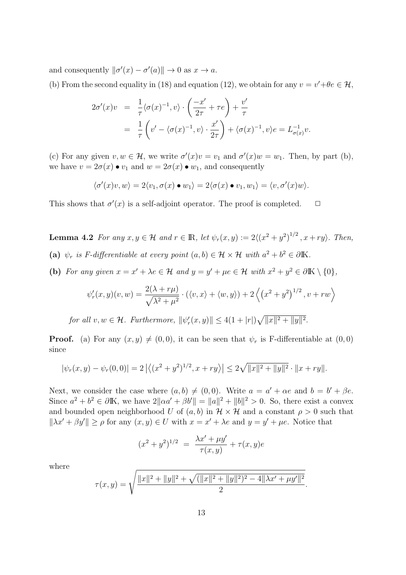and consequently  $\|\sigma'(x) - \sigma'(a)\| \to 0$  as  $x \to a$ .

(b) From the second equality in (18) and equation (12), we obtain for any  $v = v' + \theta e \in \mathcal{H}$ ,

$$
2\sigma'(x)v = \frac{1}{\tau} \langle \sigma(x)^{-1}, v \rangle \cdot \left( \frac{-x'}{2\tau} + \tau e \right) + \frac{v'}{\tau}
$$
  
= 
$$
\frac{1}{\tau} \left( v' - \langle \sigma(x)^{-1}, v \rangle \cdot \frac{x'}{2\tau} \right) + \langle \sigma(x)^{-1}, v \rangle e = L_{\sigma(x)}^{-1} v.
$$

(c) For any given  $v, w \in \mathcal{H}$ , we write  $\sigma'(x)v = v_1$  and  $\sigma'(x)w = w_1$ . Then, by part (b), we have  $v = 2\sigma(x) \bullet v_1$  and  $w = 2\sigma(x) \bullet w_1$ , and consequently

$$
\langle \sigma'(x)v, w \rangle = 2 \langle v_1, \sigma(x) \bullet w_1 \rangle = 2 \langle \sigma(x) \bullet v_1, w_1 \rangle = \langle v, \sigma'(x)w \rangle.
$$

This shows that  $\sigma'(x)$  is a self-adjoint operator. The proof is completed.  $\Box$ 

**Lemma 4.2** For any  $x, y \in \mathcal{H}$  and  $r \in \mathbb{R}$ , let  $\psi_r(x, y) := 2\langle (x^2 + y^2)^{1/2}, x + ry \rangle$ . Then, (a)  $\psi_r$  *is F-differentiable at every point*  $(a, b) \in \mathcal{H} \times \mathcal{H}$  *with*  $a^2 + b^2 \in \partial \mathbb{K}$ *.* 

(b) For any given  $x = x' + \lambda e \in \mathcal{H}$  and  $y = y' + \mu e \in \mathcal{H}$  with  $x^2 + y^2 \in \partial \mathbb{K} \setminus \{0\},$ 

$$
\psi_r'(x,y)(v,w) = \frac{2(\lambda + r\mu)}{\sqrt{\lambda^2 + \mu^2}} \cdot (\langle v, x \rangle + \langle w, y \rangle) + 2\left\langle \left(x^2 + y^2\right)^{1/2}, v + rw\right\rangle
$$

*for all*  $v, w \in \mathcal{H}$ *. Furthermore,*  $||\psi_r'(x, y)|| \leq 4(1 + |r|)\sqrt{||x||^2 + ||y||^2}$ .

**Proof.** (a) For any  $(x, y) \neq (0, 0)$ , it can be seen that  $\psi_r$  is F-differentiable at  $(0, 0)$ since

$$
|\psi_r(x,y) - \psi_r(0,0)| = 2 |\langle (x^2 + y^2)^{1/2}, x + ry \rangle| \le 2\sqrt{\|x\|^2 + \|y\|^2} \cdot \|x + ry\|.
$$

Next, we consider the case where  $(a, b) \neq (0, 0)$ . Write  $a = a' + \alpha e$  and  $b = b' + \beta e$ . Since  $a^2 + b^2 \in \partial \mathbb{K}$ , we have  $2||\alpha a' + \beta b'|| = ||a||^2 + ||b||^2 > 0$ . So, there exist a convex and bounded open neighborhood *U* of  $(a, b)$  in  $\mathcal{H} \times \mathcal{H}$  and a constant  $\rho > 0$  such that  $||\lambda x' + \beta y'|| \ge \rho$  for any  $(x, y) \in U$  with  $x = x' + \lambda e$  and  $y = y' + \mu e$ . Notice that

$$
(x^{2} + y^{2})^{1/2} = \frac{\lambda x' + \mu y'}{\tau(x, y)} + \tau(x, y)e
$$

where

$$
\tau(x,y) = \sqrt{\frac{\|x\|^2 + \|y\|^2 + \sqrt{(\|x\|^2 + \|y\|^2)^2 - 4\|\lambda x' + \mu y'\|^2}}{2}}.
$$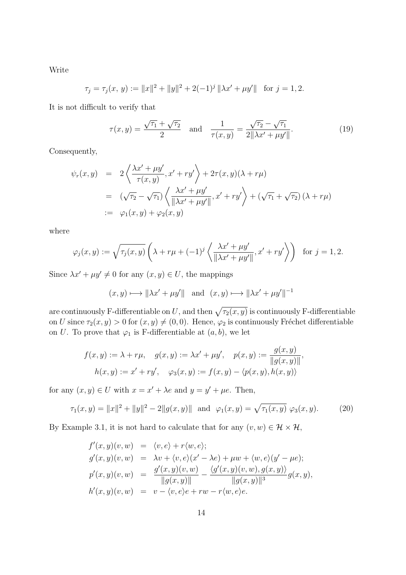Write

$$
\tau_j = \tau_j(x, y) := ||x||^2 + ||y||^2 + 2(-1)^j ||\lambda x' + \mu y'|| \text{ for } j = 1, 2.
$$

It is not difficult to verify that

$$
\tau(x,y) = \frac{\sqrt{\tau_1} + \sqrt{\tau_2}}{2} \quad \text{and} \quad \frac{1}{\tau(x,y)} = \frac{\sqrt{\tau_2} - \sqrt{\tau_1}}{2\|\lambda x' + \mu y'\|}.
$$
 (19)

Consequently,

$$
\psi_r(x,y) = 2\left\langle \frac{\lambda x' + \mu y'}{\tau(x,y)}, x' + ry' \right\rangle + 2\tau(x,y)(\lambda + r\mu)
$$
  
\n
$$
= (\sqrt{\tau_2} - \sqrt{\tau_1}) \left\langle \frac{\lambda x' + \mu y'}{\|\lambda x' + \mu y'\|}, x' + ry' \right\rangle + (\sqrt{\tau_1} + \sqrt{\tau_2}) (\lambda + r\mu)
$$
  
\n
$$
:= \varphi_1(x,y) + \varphi_2(x,y)
$$

where

$$
\varphi_j(x, y) := \sqrt{\tau_j(x, y)} \left( \lambda + r\mu + (-1)^j \left\langle \frac{\lambda x' + \mu y'}{\|\lambda x' + \mu y'\|}, x' + r y' \right\rangle \right) \text{ for } j = 1, 2.
$$

Since  $\lambda x' + \mu y' \neq 0$  for any  $(x, y) \in U$ , the mappings

$$
(x, y) \longrightarrow ||\lambda x' + \mu y'||
$$
 and  $(x, y) \longmapsto ||\lambda x' + \mu y'||^{-1}$ 

are continuously F-differentiable on U, and then  $\sqrt{\tau_2(x,y)}$  is continuously F-differentiable on *U* since  $\tau_2(x, y) > 0$  for  $(x, y) \neq (0, 0)$ . Hence,  $\varphi_2$  is continuously Fréchet differentiable on *U*. To prove that  $\varphi_1$  is F-differentiable at  $(a, b)$ , we let

$$
f(x, y) := \lambda + r\mu, \quad g(x, y) := \lambda x' + \mu y', \quad p(x, y) := \frac{g(x, y)}{\|g(x, y)\|},
$$

$$
h(x, y) := x' + ry', \quad \varphi_3(x, y) := f(x, y) - \langle p(x, y), h(x, y) \rangle
$$

for any  $(x, y) \in U$  with  $x = x' + \lambda e$  and  $y = y' + \mu e$ . Then,

$$
\tau_1(x, y) = ||x||^2 + ||y||^2 - 2||g(x, y)|| \text{ and } \varphi_1(x, y) = \sqrt{\tau_1(x, y)} \varphi_3(x, y). \tag{20}
$$

By Example 3.1, it is not hard to calculate that for any  $(v, w) \in \mathcal{H} \times \mathcal{H}$ ,

$$
f'(x, y)(v, w) = \langle v, e \rangle + r \langle w, e \rangle; g'(x, y)(v, w) = \lambda v + \langle v, e \rangle (x' - \lambda e) + \mu w + \langle w, e \rangle (y' - \mu e); p'(x, y)(v, w) = \frac{g'(x, y)(v, w)}{\|g(x, y)\|} - \frac{\langle g'(x, y)(v, w), g(x, y) \rangle}{\|g(x, y)\|^3} g(x, y), h'(x, y)(v, w) = v - \langle v, e \rangle e + rw - r \langle w, e \rangle e.
$$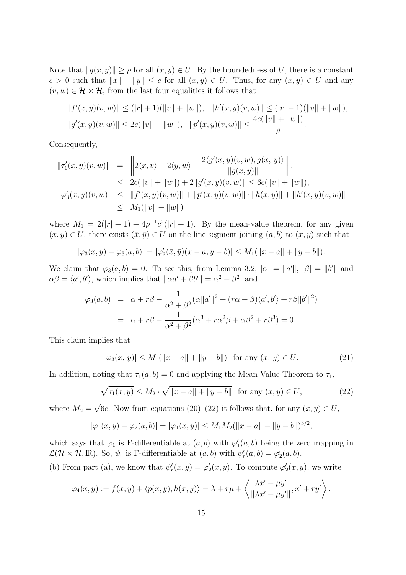Note that  $||g(x, y)|| \ge \rho$  for all  $(x, y) \in U$ . By the boundedness of *U*, there is a constant *c* > 0 such that  $||x|| + ||y|| \le c$  for all  $(x, y) \in U$ . Thus, for any  $(x, y) \in U$  and any  $(v, w) \in \mathcal{H} \times \mathcal{H}$ , from the last four equalities it follows that

$$
||f'(x,y)(v,w)|| \le (|r|+1)(||v||+||w||), ||h'(x,y)(v,w)|| \le (|r|+1)(||v||+||w||),
$$
  

$$
||g'(x,y)(v,w)|| \le 2c(||v||+||w||), ||p'(x,y)(v,w)|| \le \frac{4c(||v||+||w||)}{\rho}.
$$

Consequently,

$$
\begin{array}{rcl}\n\|\tau_1'(x,y)(v,w)\| & = & \left\|2\langle x,v\rangle + 2\langle y,w\rangle - \frac{2\langle g'(x,y)(v,w),g(x,y)\rangle}{\|g(x,y)\|}\right\|, \\
& \leq & 2c(\|v\| + \|w\|) + 2\|g'(x,y)(v,w)\| \leq 6c(\|v\| + \|w\|), \\
|\varphi_3'(x,y)(v,w)| & \leq & \|f'(x,y)(v,w)\| + \|p'(x,y)(v,w)\| \cdot \|h(x,y)\| + \|h'(x,y)(v,w)\| \\
& \leq & M_1(\|v\| + \|w\|)\n\end{array}
$$

where  $M_1 = 2(|r| + 1) + 4\rho^{-1}c^2(|r| + 1)$ . By the mean-value theorem, for any given  $(x, y) \in U$ , there exists  $(\bar{x}, \bar{y}) \in U$  on the line segment joining  $(a, b)$  to  $(x, y)$  such that

$$
|\varphi_3(x,y) - \varphi_3(a,b)| = |\varphi_3'(\bar{x}, \bar{y})(x-a, y-b)| \le M_1(||x-a|| + ||y-b||).
$$

We claim that  $\varphi_3(a, b) = 0$ . To see this, from Lemma 3.2,  $|\alpha| = ||a'||, |\beta| = ||b'||$  and  $\alpha\beta = \langle a', b' \rangle$ , which implies that  $\|\alpha a' + \beta b'\| = \alpha^2 + \beta^2$ , and

$$
\varphi_3(a,b) = \alpha + r\beta - \frac{1}{\alpha^2 + \beta^2} (\alpha ||a'||^2 + (r\alpha + \beta)\langle a', b' \rangle + r\beta ||b'||^2)
$$
  
=  $\alpha + r\beta - \frac{1}{\alpha^2 + \beta^2} (\alpha^3 + r\alpha^2\beta + \alpha\beta^2 + r\beta^3) = 0.$ 

This claim implies that

$$
|\varphi_3(x, y)| \le M_1(||x - a|| + ||y - b||) \text{ for any } (x, y) \in U. \tag{21}
$$

In addition, noting that  $\tau_1(a, b) = 0$  and applying the Mean Value Theorem to  $\tau_1$ ,

$$
\sqrt{\tau_1(x, y)} \le M_2 \cdot \sqrt{\|x - a\| + \|y - b\|} \quad \text{for any } (x, y) \in U,
$$
 (22)

where  $M_2 =$ *√* 6*c*. Now from equations (20)–(22) it follows that, for any  $(x, y) \in U$ ,

$$
|\varphi_1(x,y) - \varphi_2(a,b)| = |\varphi_1(x,y)| \le M_1 M_2(||x-a|| + ||y-b||)^{3/2},
$$

which says that  $\varphi_1$  is F-differentiable at  $(a, b)$  with  $\varphi'_1(a, b)$  being the zero mapping in  $\mathcal{L}(\mathcal{H} \times \mathcal{H}, \mathbb{R})$ . So,  $\psi_r$  is F-differentiable at  $(a, b)$  with  $\psi'_r(a, b) = \varphi'_2(a, b)$ .

(b) From part (a), we know that  $\psi'_r(x, y) = \varphi'_2(x, y)$ . To compute  $\varphi'_2(x, y)$ , we write

$$
\varphi_4(x,y) := f(x,y) + \langle p(x,y), h(x,y) \rangle = \lambda + r\mu + \left\langle \frac{\lambda x' + \mu y'}{\|\lambda x' + \mu y'\|}, x' + ry' \right\rangle.
$$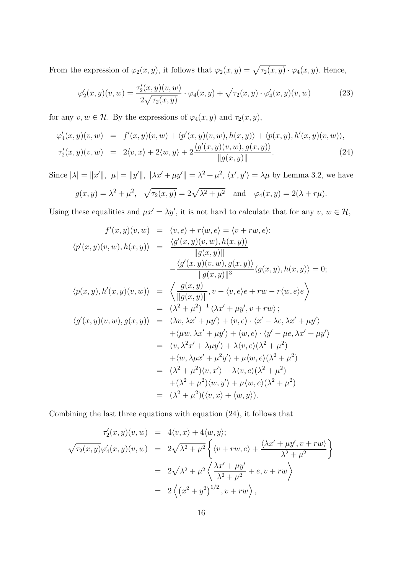From the expression of  $\varphi_2(x, y)$ , it follows that  $\varphi_2(x, y) = \sqrt{\tau_2(x, y)} \cdot \varphi_4(x, y)$ . Hence,

$$
\varphi_2'(x, y)(v, w) = \frac{\tau_2'(x, y)(v, w)}{2\sqrt{\tau_2(x, y)}} \cdot \varphi_4(x, y) + \sqrt{\tau_2(x, y)} \cdot \varphi_4'(x, y)(v, w)
$$
(23)

for any  $v, w \in \mathcal{H}$ . By the expressions of  $\varphi_4(x, y)$  and  $\tau_2(x, y)$ ,

$$
\varphi_4'(x, y)(v, w) = f'(x, y)(v, w) + \langle p'(x, y)(v, w), h(x, y) \rangle + \langle p(x, y), h'(x, y)(v, w) \rangle, \n\tau_2'(x, y)(v, w) = 2\langle v, x \rangle + 2\langle w, y \rangle + 2\frac{\langle g'(x, y)(v, w), g(x, y) \rangle}{\|g(x, y)\|}.
$$
\n(24)

Since  $|\lambda| = ||x'||$ ,  $|\mu| = ||y'||$ ,  $||\lambda x' + \mu y'|| = \lambda^2 + \mu^2$ ,  $\langle x', y' \rangle = \lambda \mu$  by Lemma 3.2, we have

$$
g(x, y) = \lambda^2 + \mu^2
$$
,  $\sqrt{\tau_2(x, y)} = 2\sqrt{\lambda^2 + \mu^2}$  and  $\varphi_4(x, y) = 2(\lambda + r\mu)$ .

Using these equalities and  $\mu x' = \lambda y'$ , it is not hard to calculate that for any  $v, w \in \mathcal{H}$ ,

$$
f'(x, y)(v, w) = \langle v, e \rangle + r \langle w, e \rangle = \langle v + rw, e \rangle;
$$
  

$$
\langle p'(x, y)(v, w), h(x, y) \rangle = \frac{\langle g'(x, y)(v, w), h(x, y) \rangle}{\|g(x, y)\|}
$$
  

$$
-\frac{\langle g'(x, y)(v, w), g(x, y) \rangle}{\|g(x, y)\|^3} \langle g(x, y), h(x, y) \rangle = 0;
$$
  

$$
\langle p(x, y), h'(x, y)(v, w) \rangle = \left\langle \frac{g(x, y)}{\|g(x, y)\|}, v - \langle v, e \rangle e + rw - r \langle w, e \rangle e \right\rangle
$$
  

$$
= (\lambda^2 + \mu^2)^{-1} \langle \lambda x' + \mu y', v + rw \rangle;
$$
  

$$
\langle g'(x, y)(v, w), g(x, y) \rangle = \langle \lambda v, \lambda x' + \mu y' \rangle + \langle v, e \rangle \cdot \langle x' - \lambda e, \lambda x' + \mu y' \rangle
$$
  

$$
+ \langle \mu w, \lambda x' + \mu y' \rangle + \langle w, e \rangle \cdot \langle y' - \mu e, \lambda x' + \mu y' \rangle
$$
  

$$
= \langle v, \lambda^2 x' + \lambda \mu y' \rangle + \lambda \langle v, e \rangle (\lambda^2 + \mu^2)
$$
  

$$
+ \langle w, \lambda \mu x' + \mu^2 y' \rangle + \mu \langle w, e \rangle (\lambda^2 + \mu^2)
$$
  

$$
= (\lambda^2 + \mu^2) \langle v, x' \rangle + \lambda \langle v, e \rangle (\lambda^2 + \mu^2)
$$
  

$$
= (\lambda^2 + \mu^2) \langle v, x \rangle + \langle w, y \rangle).
$$

Combining the last three equations with equation  $(24)$ , it follows that

$$
\tau'_2(x, y)(v, w) = 4\langle v, x \rangle + 4\langle w, y \rangle;
$$
  

$$
\sqrt{\tau_2(x, y)}\varphi'_4(x, y)(v, w) = 2\sqrt{\lambda^2 + \mu^2} \left\{ \langle v + rw, e \rangle + \frac{\langle \lambda x' + \mu y', v + rw \rangle}{\lambda^2 + \mu^2} \right\}
$$
  

$$
= 2\sqrt{\lambda^2 + \mu^2} \left\{ \frac{\lambda x' + \mu y'}{\lambda^2 + \mu^2} + e, v + rw \right\}
$$
  

$$
= 2 \left\langle (x^2 + y^2)^{1/2}, v + rw \right\rangle,
$$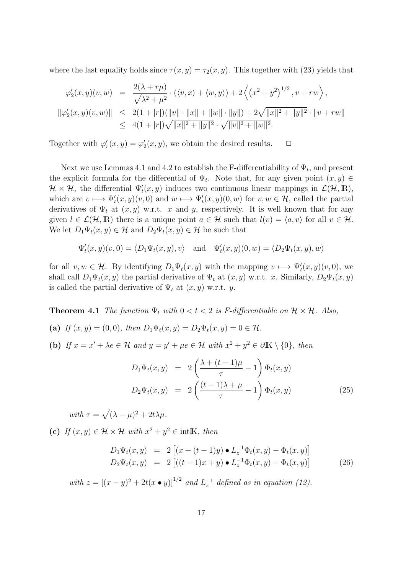where the last equality holds since  $\tau(x, y) = \tau_2(x, y)$ . This together with (23) yields that

$$
\varphi_2'(x, y)(v, w) = \frac{2(\lambda + r\mu)}{\sqrt{\lambda^2 + \mu^2}} \cdot (\langle v, x \rangle + \langle w, y \rangle) + 2\left\langle \left(x^2 + y^2\right)^{1/2}, v + rw\right\rangle,
$$
  

$$
\|\varphi_2'(x, y)(v, w)\| \le 2(1 + |r|)(\|v\| \cdot \|x\| + \|w\| \cdot \|y\|) + 2\sqrt{\|x\|^2 + \|y\|^2} \cdot \|v + rw\|
$$
  

$$
\le 4(1 + |r|)\sqrt{\|x\|^2 + \|y\|^2} \cdot \sqrt{\|v\|^2 + \|w\|^2}.
$$

Together with  $\varphi'_r(x, y) = \varphi'_2(x, y)$ , we obtain the desired results.  $\Box$ 

Next we use Lemmas 4.1 and 4.2 to establish the F-differentiability of  $\Psi_t$ , and present the explicit formula for the differential of  $\Psi_t$ . Note that, for any given point  $(x, y) \in$  $\mathcal{H} \times \mathcal{H}$ , the differential  $\Psi'_{t}(x, y)$  induces two continuous linear mappings in  $\mathcal{L}(\mathcal{H}, \mathbb{R})$ , which are  $v \mapsto \Psi'_t(x, y)(v, 0)$  and  $w \mapsto \Psi'_t(x, y)(0, w)$  for  $v, w \in \mathcal{H}$ , called the partial derivatives of  $\Psi_t$  at  $(x, y)$  w.r.t. *x* and *y*, respectively. It is well known that for any given  $l \in \mathcal{L}(\mathcal{H}, \mathbb{R})$  there is a unique point  $a \in \mathcal{H}$  such that  $l(v) = \langle a, v \rangle$  for all  $v \in \mathcal{H}$ . We let  $D_1\Psi_t(x, y) \in \mathcal{H}$  and  $D_2\Psi_t(x, y) \in \mathcal{H}$  be such that

$$
\Psi'_t(x, y)(v, 0) = \langle D_1 \Psi_t(x, y), v \rangle \quad \text{and} \quad \Psi'_t(x, y)(0, w) = \langle D_2 \Psi_t(x, y), w \rangle
$$

for all  $v, w \in \mathcal{H}$ . By identifying  $D_1\Psi_t(x, y)$  with the mapping  $v \mapsto \Psi'_t(x, y)(v, 0)$ , we shall call  $D_1 \Psi_t(x, y)$  the partial derivative of  $\Psi_t$  at  $(x, y)$  w.r.t. *x*. Similarly,  $D_2 \Psi_t(x, y)$ is called the partial derivative of  $\Psi_t$  at  $(x, y)$  w.r.t. *y*.

**Theorem 4.1** *The function*  $\Psi_t$  *with*  $0 < t < 2$  *is F-differentiable on*  $H \times H$ *. Also,* 

- **(a)** *If*  $(x, y) = (0, 0)$ *, then*  $D_1 \Psi_t(x, y) = D_2 \Psi_t(x, y) = 0 \in \mathcal{H}$ *.*
- **(b)** If  $x = x' + \lambda e \in \mathcal{H}$  and  $y = y' + \mu e \in \mathcal{H}$  with  $x^2 + y^2 \in \partial \mathbb{K} \setminus \{0\}$ , then

$$
D_1\Psi_t(x,y) = 2\left(\frac{\lambda + (t-1)\mu}{\tau} - 1\right)\Phi_t(x,y)
$$
  

$$
D_2\Psi_t(x,y) = 2\left(\frac{(t-1)\lambda + \mu}{\tau} - 1\right)\Phi_t(x,y)
$$
 (25)

*with*  $\tau = \sqrt{(\lambda - \mu)^2 + 2t\lambda\mu}$ .

(c) *If*  $(x, y) \in \mathcal{H} \times \mathcal{H}$  *with*  $x^2 + y^2 \in \text{int} \mathbb{K}$ *, then* 

$$
D_1 \Psi_t(x, y) = 2 [(x + (t - 1)y) \bullet L_z^{-1} \Phi_t(x, y) - \Phi_t(x, y)]
$$
  
\n
$$
D_2 \Psi_t(x, y) = 2 [((t - 1)x + y) \bullet L_z^{-1} \Phi_t(x, y) - \Phi_t(x, y)]
$$
\n(26)

 $with z = [(x - y)^2 + 2t(x \bullet y)]^{1/2}$  and  $L_z^{-1}$  defined as in equation (12).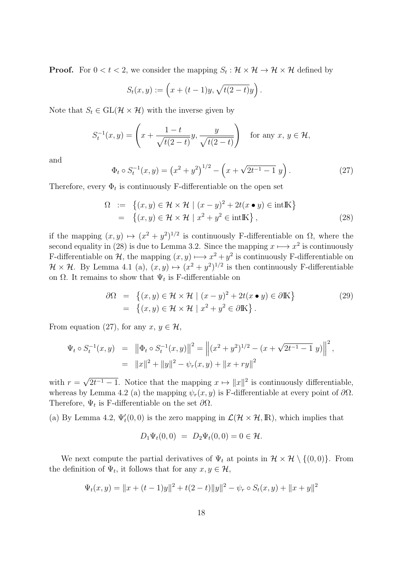**Proof.** For  $0 < t < 2$ , we consider the mapping  $S_t : \mathcal{H} \times \mathcal{H} \to \mathcal{H} \times \mathcal{H}$  defined by

$$
S_t(x, y) := (x + (t-1)y, \sqrt{t(2-t)}y).
$$

Note that  $S_t \in GL(\mathcal{H} \times \mathcal{H})$  with the inverse given by

$$
S_t^{-1}(x,y) = \left(x + \frac{1-t}{\sqrt{t(2-t)}}y, \frac{y}{\sqrt{t(2-t)}}\right) \quad \text{for any } x, y \in \mathcal{H},
$$

and

$$
\Phi_t \circ S_t^{-1}(x, y) = \left(x^2 + y^2\right)^{1/2} - \left(x + \sqrt{2t^{-1} - 1} y\right). \tag{27}
$$

Therefore, every  $\Phi_t$  is continuously F-differentiable on the open set

$$
\Omega := \left\{ (x, y) \in \mathcal{H} \times \mathcal{H} \mid (x - y)^2 + 2t(x \bullet y) \in \text{intK} \right\}
$$
  
= 
$$
\left\{ (x, y) \in \mathcal{H} \times \mathcal{H} \mid x^2 + y^2 \in \text{intK} \right\},
$$
 (28)

if the mapping  $(x, y) \mapsto (x^2 + y^2)^{1/2}$  is continuously F-differentiable on  $\Omega$ , where the second equality in (28) is due to Lemma 3.2. Since the mapping  $x \mapsto x^2$  is continuously F-differentiable on *H*, the mapping  $(x, y) \mapsto x^2 + y^2$  is continuously F-differentiable on  $\mathcal{H} \times \mathcal{H}$ . By Lemma 4.1 (a),  $(x, y) \mapsto (x^2 + y^2)^{1/2}$  is then continuously F-differentiable on  $\Omega$ . It remains to show that  $\Psi_t$  is F-differentiable on

$$
\partial\Omega = \{(x, y) \in \mathcal{H} \times \mathcal{H} \mid (x - y)^2 + 2t(x \bullet y) \in \partial \mathbb{K}\}\
$$
  
= 
$$
\{(x, y) \in \mathcal{H} \times \mathcal{H} \mid x^2 + y^2 \in \partial \mathbb{K}\}.
$$
 (29)

From equation (27), for any  $x, y \in \mathcal{H}$ ,

$$
\Psi_t \circ S_t^{-1}(x, y) = ||\Phi_t \circ S_t^{-1}(x, y)||^2 = ||(x^2 + y^2)^{1/2} - (x + \sqrt{2t^{-1} - 1} y)||^2,
$$
  
=  $||x||^2 + ||y||^2 - \psi_r(x, y) + ||x + ry||^2$ 

with  $r =$ *√*  $2t^{-1} - 1$ . Notice that the mapping  $x \mapsto ||x||^2$  is continuously differentiable, whereas by Lemma 4.2 (a) the mapping  $\psi_r(x, y)$  is F-differentiable at every point of  $\partial\Omega$ . Therefore,  $\Psi_t$  is F-differentiable on the set  $\partial\Omega$ .

(a) By Lemma 4.2,  $\Psi'_{t}(0,0)$  is the zero mapping in  $\mathcal{L}(\mathcal{H} \times \mathcal{H}, \mathbb{R})$ , which implies that

$$
D_1\Psi_t(0,0) = D_2\Psi_t(0,0) = 0 \in \mathcal{H}.
$$

We next compute the partial derivatives of  $\Psi_t$  at points in  $\mathcal{H} \times \mathcal{H} \setminus \{(0,0)\}\.$  From the definition of  $\Psi_t$ , it follows that for any  $x, y \in \mathcal{H}$ ,

$$
\Psi_t(x, y) = ||x + (t - 1)y||^2 + t(2 - t)||y||^2 - \psi_r \circ S_t(x, y) + ||x + y||^2
$$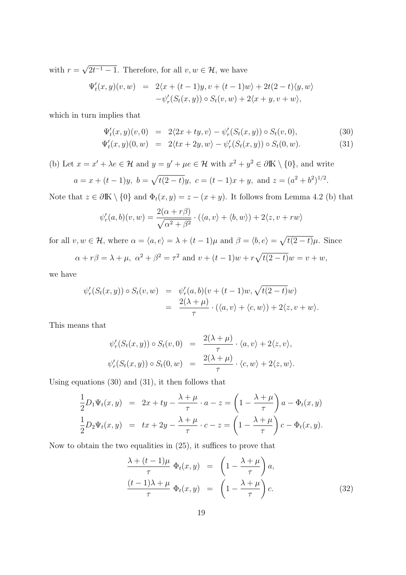with  $r =$ *√*  $2t^{-1} - 1$ . Therefore, for all  $v, w \in \mathcal{H}$ , we have

$$
\Psi'_t(x,y)(v,w) = 2\langle x + (t-1)y, v + (t-1)w \rangle + 2t(2-t)\langle y, w \rangle
$$
  

$$
-\psi'_r(S_t(x,y)) \circ S_t(v,w) + 2\langle x + y, v + w \rangle,
$$

which in turn implies that

$$
\Psi'_t(x, y)(v, 0) = 2\langle 2x + ty, v \rangle - \psi'_r(S_t(x, y)) \circ S_t(v, 0), \tag{30}
$$

$$
\Psi'_t(x, y)(0, w) = 2\langle tx + 2y, w \rangle - \psi'_r(S_t(x, y)) \circ S_t(0, w). \tag{31}
$$

(b) Let  $x = x' + \lambda e \in \mathcal{H}$  and  $y = y' + \mu e \in \mathcal{H}$  with  $x^2 + y^2 \in \partial \mathbb{K} \setminus \{0\}$ , and write

$$
a = x + (t - 1)y
$$
,  $b = \sqrt{t(2 - t)}y$ ,  $c = (t - 1)x + y$ , and  $z = (a^2 + b^2)^{1/2}$ .

Note that  $z \in \partial \mathbb{K} \setminus \{0\}$  and  $\Phi_t(x, y) = z - (x + y)$ . It follows from Lemma 4.2 (b) that

$$
\psi_r'(a,b)(v,w) = \frac{2(\alpha + r\beta)}{\sqrt{\alpha^2 + \beta^2}} \cdot (\langle a,v \rangle + \langle b,w \rangle) + 2\langle z,v+rw \rangle
$$

for all  $v, w \in \mathcal{H}$ , where  $\alpha = \langle a, e \rangle = \lambda + (t - 1)\mu$  and  $\beta = \langle b, e \rangle = \sqrt{t(2 - t)}\mu$ . Since

$$
\alpha + r\beta = \lambda + \mu
$$
,  $\alpha^2 + \beta^2 = \tau^2$  and  $v + (t - 1)w + r\sqrt{t(2 - t)}w = v + w$ ,

we have

$$
\psi'_r(S_t(x,y)) \circ S_t(v,w) = \psi'_r(a,b)(v + (t-1)w, \sqrt{t(2-t)}w)
$$
  
= 
$$
\frac{2(\lambda + \mu)}{\tau} \cdot (\langle a, v \rangle + \langle c, w \rangle) + 2\langle z, v + w \rangle.
$$

This means that

$$
\psi'_r(S_t(x,y)) \circ S_t(v,0) = \frac{2(\lambda + \mu)}{\tau} \cdot \langle a, v \rangle + 2\langle z, v \rangle,
$$
  

$$
\psi'_r(S_t(x,y)) \circ S_t(0,w) = \frac{2(\lambda + \mu)}{\tau} \cdot \langle c, w \rangle + 2\langle z, w \rangle.
$$

Using equations (30) and (31), it then follows that

$$
\frac{1}{2}D_1\Psi_t(x,y) = 2x + ty - \frac{\lambda + \mu}{\tau} \cdot a - z = \left(1 - \frac{\lambda + \mu}{\tau}\right)a - \Phi_t(x,y)
$$
  

$$
\frac{1}{2}D_2\Psi_t(x,y) = tx + 2y - \frac{\lambda + \mu}{\tau} \cdot c - z = \left(1 - \frac{\lambda + \mu}{\tau}\right)c - \Phi_t(x,y).
$$

Now to obtain the two equalities in (25), it suffices to prove that

$$
\frac{\lambda + (t - 1)\mu}{\tau} \Phi_t(x, y) = \left(1 - \frac{\lambda + \mu}{\tau}\right) a,
$$
\n
$$
\frac{(t - 1)\lambda + \mu}{\tau} \Phi_t(x, y) = \left(1 - \frac{\lambda + \mu}{\tau}\right) c.
$$
\n(32)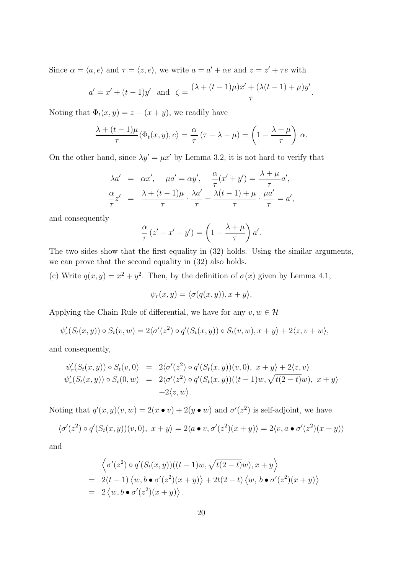Since  $\alpha = \langle a, e \rangle$  and  $\tau = \langle z, e \rangle$ , we write  $a = a' + \alpha e$  and  $z = z' + \tau e$  with

$$
a' = x' + (t - 1)y'
$$
 and  $\zeta = \frac{(\lambda + (t - 1)\mu)x' + (\lambda(t - 1) + \mu)y'}{\tau}$ .

Noting that  $\Phi_t(x, y) = z - (x + y)$ , we readily have

$$
\frac{\lambda + (t-1)\mu}{\tau} \langle \Phi_t(x, y), e \rangle = \frac{\alpha}{\tau} (\tau - \lambda - \mu) = \left(1 - \frac{\lambda + \mu}{\tau}\right) \alpha.
$$

On the other hand, since  $\lambda y' = \mu x'$  by Lemma 3.2, it is not hard to verify that

$$
\lambda a' = \alpha x', \quad \mu a' = \alpha y', \quad \frac{\alpha}{\tau}(x' + y') = \frac{\lambda + \mu}{\tau}a',
$$

$$
\frac{\alpha}{\tau}z' = \frac{\lambda + (t - 1)\mu}{\tau} \cdot \frac{\lambda a'}{\tau} + \frac{\lambda(t - 1) + \mu}{\tau} \cdot \frac{\mu a'}{\tau} = a',
$$

and consequently

$$
\frac{\alpha}{\tau}(z'-x'-y') = \left(1 - \frac{\lambda + \mu}{\tau}\right)a'.
$$

The two sides show that the first equality in (32) holds. Using the similar arguments, we can prove that the second equality in (32) also holds.

(c) Write  $q(x, y) = x^2 + y^2$ . Then, by the definition of  $\sigma(x)$  given by Lemma 4.1,

$$
\psi_r(x,y) = \langle \sigma(q(x,y)), x+y \rangle.
$$

Applying the Chain Rule of differential, we have for any  $v, w \in \mathcal{H}$ 

$$
\psi'_r(S_t(x,y)) \circ S_t(v,w) = 2\langle \sigma'(z^2) \circ q'(S_t(x,y)) \circ S_t(v,w), x+y \rangle + 2\langle z, v+w \rangle,
$$

and consequently,

$$
\psi'_r(S_t(x,y)) \circ S_t(v,0) = 2\langle \sigma'(z^2) \circ q'(S_t(x,y))(v,0), x+y \rangle + 2\langle z,v \rangle
$$
  

$$
\psi'_r(S_t(x,y)) \circ S_t(0,w) = 2\langle \sigma'(z^2) \circ q'(S_t(x,y))((t-1)w, \sqrt{t(2-t)}w), x+y \rangle
$$
  

$$
+2\langle z,w \rangle.
$$

Noting that  $q'(x, y)(v, w) = 2(x \cdot v) + 2(y \cdot w)$  and  $\sigma'(z^2)$  is self-adjoint, we have

$$
\langle \sigma'(z^2) \circ q'(S_t(x, y))(v, 0), x + y \rangle = 2\langle a \bullet v, \sigma'(z^2)(x + y) \rangle = 2\langle v, a \bullet \sigma'(z^2)(x + y) \rangle
$$

and

$$
\begin{aligned}\n&\left\langle \sigma'(z^2) \circ q'(S_t(x, y))((t - 1)w, \sqrt{t(2 - t)}w), x + y \right\rangle \\
&= 2(t - 1) \left\langle w, b \bullet \sigma'(z^2)(x + y) \right\rangle + 2t(2 - t) \left\langle w, b \bullet \sigma'(z^2)(x + y) \right\rangle \\
&= 2 \left\langle w, b \bullet \sigma'(z^2)(x + y) \right\rangle.\n\end{aligned}
$$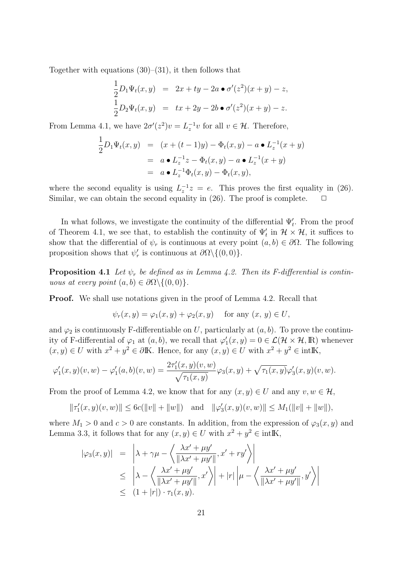Together with equations  $(30)$ – $(31)$ , it then follows that

$$
\frac{1}{2}D_1\Psi_t(x,y) = 2x + ty - 2a \bullet \sigma'(z^2)(x+y) - z,
$$
  

$$
\frac{1}{2}D_2\Psi_t(x,y) = tx + 2y - 2b \bullet \sigma'(z^2)(x+y) - z.
$$

From Lemma 4.1, we have  $2\sigma'(z^2)v = L_z^{-1}v$  for all  $v \in \mathcal{H}$ . Therefore,

$$
\frac{1}{2}D_1\Psi_t(x,y) = (x + (t-1)y) - \Phi_t(x,y) - a \bullet L_z^{-1}(x+y) \n= a \bullet L_z^{-1}z - \Phi_t(x,y) - a \bullet L_z^{-1}(x+y) \n= a \bullet L_z^{-1}\Phi_t(x,y) - \Phi_t(x,y),
$$

where the second equality is using  $L_z^{-1}z = e$ . This proves the first equality in (26). Similar, we can obtain the second equality in  $(26)$ . The proof is complete.  $\Box$ 

In what follows, we investigate the continuity of the differential  $\Psi'_{t}$ . From the proof of Theorem 4.1, we see that, to establish the continuity of  $\Psi'_{t}$  in  $H \times H$ , it suffices to show that the differential of  $\psi_r$  is continuous at every point  $(a, b) \in \partial \Omega$ . The following proposition shows that  $\psi'_r$  is continuous at  $\partial\Omega\setminus\{(0,0)\}.$ 

**Proposition 4.1** Let  $\psi_r$  be defined as in Lemma 4.2. Then its F-differential is contin*uous at every point*  $(a, b) \in \partial\Omega \setminus \{(0, 0)\}.$ 

**Proof.** We shall use notations given in the proof of Lemma 4.2. Recall that

$$
\psi_r(x, y) = \varphi_1(x, y) + \varphi_2(x, y) \quad \text{for any } (x, y) \in U,
$$

and  $\varphi_2$  is continuously F-differentiable on *U*, particularly at  $(a, b)$ . To prove the continuity of F-differential of  $\varphi_1$  at  $(a, b)$ , we recall that  $\varphi'_1(x, y) = 0 \in \mathcal{L}(\mathcal{H} \times \mathcal{H}, \mathbb{R})$  whenever  $(x, y) \in U$  with  $x^2 + y^2 \in \partial \mathbb{K}$ . Hence, for any  $(x, y) \in U$  with  $x^2 + y^2 \in \text{int} \mathbb{K}$ ,

$$
\varphi'_1(x,y)(v,w) - \varphi'_1(a,b)(v,w) = \frac{2\tau'_1(x,y)(v,w)}{\sqrt{\tau_1(x,y)}}\varphi_3(x,y) + \sqrt{\tau_1(x,y)}\varphi'_3(x,y)(v,w).
$$

From the proof of Lemma 4.2, we know that for any  $(x, y) \in U$  and any  $v, w \in \mathcal{H}$ ,

$$
\|\tau_1'(x,y)(v,w)\| \le 6c(\|v\| + \|w\|) \quad \text{and} \quad \|\varphi_3'(x,y)(v,w)\| \le M_1(\|v\| + \|w\|),
$$

where  $M_1 > 0$  and  $c > 0$  are constants. In addition, from the expression of  $\varphi_3(x, y)$  and Lemma 3.3, it follows that for any  $(x, y) \in U$  with  $x^2 + y^2 \in \text{intK}$ ,

$$
|\varphi_3(x,y)| = \left| \lambda + \gamma \mu - \left\langle \frac{\lambda x' + \mu y'}{\|\lambda x' + \mu y'\|}, x' + ry' \right\rangle \right|
$$
  
\$\leq \left| \lambda - \left\langle \frac{\lambda x' + \mu y'}{\|\lambda x' + \mu y'\|}, x' \right\rangle \right| + |r| \left| \mu - \left\langle \frac{\lambda x' + \mu y'}{\|\lambda x' + \mu y'\|}, y' \right\rangle \right|\$  
\$\leq (1 + |r|) \cdot \tau\_1(x, y).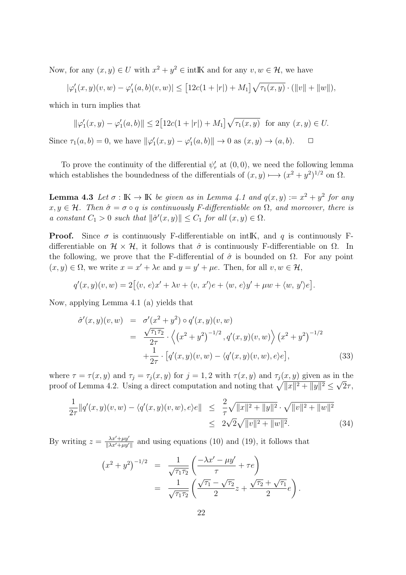Now, for any  $(x, y) \in U$  with  $x^2 + y^2 \in \text{int} \mathbb{K}$  and for any  $v, w \in \mathcal{H}$ , we have

$$
|\varphi_1'(x,y)(v,w) - \varphi_1'(a,b)(v,w)| \le [12c(1+|r|) + M_1] \sqrt{\tau_1(x,y)} \cdot (\|v\| + \|w\|),
$$

which in turn implies that

$$
\|\varphi_1'(x,y) - \varphi_1'(a,b)\| \le 2[12c(1+|r|) + M_1]\sqrt{\tau_1(x,y)} \text{ for any } (x,y) \in U.
$$

Since  $\tau_1(a, b) = 0$ , we have  $\|\varphi'_1(x, y) - \varphi'_1(a, b)\| \to 0$  as  $(x, y) \to (a, b)$ .  $\Box$ 

To prove the continuity of the differential  $\psi'_r$  at  $(0,0)$ , we need the following lemma which establishes the boundedness of the differentials of  $(x, y) \mapsto (x^2 + y^2)^{1/2}$  on  $\Omega$ .

**Lemma 4.3** Let  $\sigma : \mathbb{K} \to \mathbb{K}$  be given as in Lemma 4.1 and  $q(x, y) := x^2 + y^2$  for any  $x, y \in \mathcal{H}$ *. Then*  $\hat{\sigma} = \sigma \circ q$  *is continuously F-differentiable on*  $\Omega$ *, and moreover, there is a* constant  $C_1 > 0$  such that  $\|\hat{\sigma}'(x, y)\| \leq C_1$  for all  $(x, y) \in \Omega$ .

**Proof.** Since  $\sigma$  is continuously F-differentiable on intIK, and *q* is continuously Fdifferentiable on  $\mathcal{H} \times \mathcal{H}$ , it follows that  $\hat{\sigma}$  is continuously F-differentiable on  $\Omega$ . In the following, we prove that the F-differential of  $\hat{\sigma}$  is bounded on  $\Omega$ . For any point  $(x, y) \in \Omega$ , we write  $x = x' + \lambda e$  and  $y = y' + \mu e$ . Then, for all  $v, w \in \mathcal{H}$ ,

$$
q'(x,y)(v,w) = 2[(v, e)x' + \lambda v + \langle v, x'\rangle e + \langle w, e\rangle y' + \mu w + \langle w, y'\rangle e].
$$

Now, applying Lemma 4.1 (a) yields that

$$
\hat{\sigma}'(x, y)(v, w) = \sigma'(x^2 + y^2) \circ q'(x, y)(v, w)
$$
  
\n
$$
= \frac{\sqrt{\tau_1 \tau_2}}{2\tau} \cdot \left\langle (x^2 + y^2)^{-1/2}, q'(x, y)(v, w) \right\rangle (x^2 + y^2)^{-1/2}
$$
  
\n
$$
+ \frac{1}{2\tau} \cdot [q'(x, y)(v, w) - \left\langle q'(x, y)(v, w), e \right\rangle e],
$$
\n(33)

where  $\tau = \tau(x, y)$  and  $\tau_j = \tau_j(x, y)$  for  $j = 1, 2$  with  $\tau(x, y)$  and  $\tau_j(x, y)$  given as in the proof of Lemma 4.2. Using a direct computation and noting that  $\sqrt{\|x\|^2 + \|y\|^2} \leq \sqrt{2}\tau$ ,

$$
\frac{1}{2\tau} \|q'(x,y)(v,w) - \langle q'(x,y)(v,w), e \rangle e\| \leq \frac{2}{\tau} \sqrt{\|x\|^2 + \|y\|^2} \cdot \sqrt{\|v\|^2 + \|w\|^2}
$$
  

$$
\leq 2\sqrt{2} \sqrt{\|v\|^2 + \|w\|^2}.
$$
 (34)

By writing  $z = \frac{\lambda x' + \mu y'}{\|\lambda x' + \mu y' \|}$  $\frac{\lambda x' + \mu y'}{\|\lambda x' + \mu y'\|}$  and using equations (10) and (19), it follows that

$$
(x^{2} + y^{2})^{-1/2} = \frac{1}{\sqrt{\tau_{1}\tau_{2}}} \left( \frac{-\lambda x' - \mu y'}{\tau} + \tau e \right)
$$
  
= 
$$
\frac{1}{\sqrt{\tau_{1}\tau_{2}}} \left( \frac{\sqrt{\tau_{1}} - \sqrt{\tau_{2}}}{2} z + \frac{\sqrt{\tau_{2}} + \sqrt{\tau_{1}}}{2} e \right).
$$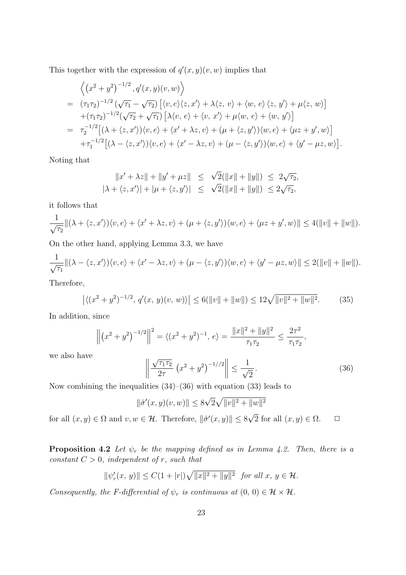This together with the expression of  $q'(x, y)(v, w)$  implies that

$$
\left\langle \left(x^2 + y^2\right)^{-1/2}, q'(x, y)(v, w) \right\rangle
$$
  
=  $(\tau_1 \tau_2)^{-1/2} \left( \sqrt{\tau_1} - \sqrt{\tau_2} \right) \left[ \langle v, e \rangle \langle z, x' \rangle + \lambda \langle z, v \rangle + \langle w, e \rangle \langle z, y' \rangle + \mu \langle z, w \rangle \right]$   
+  $(\tau_1 \tau_2)^{-1/2} \left( \sqrt{\tau_2} + \sqrt{\tau_1} \right) \left[ \lambda \langle v, e \rangle + \langle v, x' \rangle + \mu \langle w, e \rangle + \langle w, y' \rangle \right]$   
=  $\tau_2^{-1/2} \left[ (\lambda + \langle z, x' \rangle) \langle v, e \rangle + \langle x' + \lambda z, v \rangle + (\mu + \langle z, y' \rangle) \langle w, e \rangle + \langle \mu z + y', w \rangle \right]$   
+  $\tau_1^{-1/2} \left[ (\lambda - \langle z, x' \rangle) \langle v, e \rangle + \langle x' - \lambda z, v \rangle + (\mu - \langle z, y' \rangle) \langle w, e \rangle + \langle y' - \mu z, w \rangle \right].$ 

Noting that

$$
||x' + \lambda z|| + ||y' + \mu z|| \leq \sqrt{2}(||x|| + ||y||) \leq 2\sqrt{\tau_2},
$$
  

$$
|\lambda + \langle z, x' \rangle| + |\mu + \langle z, y' \rangle| \leq \sqrt{2}(||x|| + ||y||) \leq 2\sqrt{\tau_2},
$$

it follows that

$$
\frac{1}{\sqrt{\tau_2}}\|(\lambda + \langle z, x' \rangle)\langle v, e \rangle + \langle x' + \lambda z, v \rangle + (\mu + \langle z, y' \rangle)\langle w, e \rangle + \langle \mu z + y', w \rangle\| \le 4(\|v\| + \|w\|).
$$

On the other hand, applying Lemma 3.3, we have

$$
\frac{1}{\sqrt{\tau_1}}\|(\lambda - \langle z, x' \rangle)\langle v, e \rangle + \langle x' - \lambda z, v \rangle + (\mu - \langle z, y' \rangle)\langle w, e \rangle + \langle y' - \mu z, w \rangle\| \le 2(\|v\| + \|w\|).
$$

Therefore,

$$
\left| \langle (x^2 + y^2)^{-1/2}, q'(x, y)(v, w) \rangle \right| \le 6(||v|| + ||w||) \le 12\sqrt{||v||^2 + ||w||^2}.
$$
 (35)

In addition, since

$$
\left\| \left( x^2 + y^2 \right)^{-1/2} \right\|^2 = \left\langle \left( x^2 + y^2 \right)^{-1}, e \right\rangle = \frac{\|x\|^2 + \|y\|^2}{\tau_1 \tau_2} \le \frac{2\tau^2}{\tau_1 \tau_2},
$$

we also have

$$
\left\| \frac{\sqrt{\tau_1 \tau_2}}{2\tau} \left( x^2 + y^2 \right)^{-1/2} \right\| \le \frac{1}{\sqrt{2}}.
$$
\n(36)

Now combining the inequalities  $(34)$ – $(36)$  with equation  $(33)$  leads to

$$
\|\hat{\sigma}'(x, y)(v, w)\| \le 8\sqrt{2}\sqrt{\|v\|^2 + \|w\|^2}
$$

for all  $(x, y) \in \Omega$  and  $v, w \in \mathcal{H}$ . Therefore,  $\|\hat{\sigma}'(x, y)\| \leq 8$ 2 for all  $(x, y) \in \Omega$ .  $\Box$ 

**Proposition 4.2** *Let*  $\psi_r$  *be the mapping defined as in Lemma 4.2. Then, there is a constant*  $C > 0$ *, independent of r, such that* 

$$
\|\psi_r'(x,\,y)\| \le C(1+|r|)\sqrt{\|x\|^2 + \|y\|^2} \quad \text{for all } x,\, y \in \mathcal{H}.
$$

*Consequently, the F-differential of*  $\psi_r$  *is continuous at*  $(0, 0) \in \mathcal{H} \times \mathcal{H}$ *.*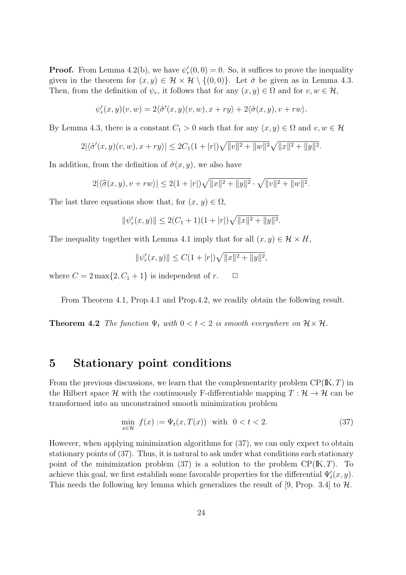**Proof.** From Lemma 4.2(b), we have  $\psi'_r(0,0) = 0$ . So, it suffices to prove the inequality given in the theorem for  $(x, y) \in \mathcal{H} \times \mathcal{H} \setminus \{(0, 0)\}\)$ . Let  $\hat{\sigma}$  be given as in Lemma 4.3. Then, from the definition of  $\psi_r$ , it follows that for any  $(x, y) \in \Omega$  and for  $v, w \in \mathcal{H}$ ,

$$
\psi'_r(x,y)(v,w) = 2\langle \hat{\sigma}'(x,y)(v,w), x+ry \rangle + 2\langle \hat{\sigma}(x,y), v+rw \rangle.
$$

By Lemma 4.3, there is a constant  $C_1 > 0$  such that for any  $(x, y) \in \Omega$  and  $v, w \in \mathcal{H}$ 

$$
2|\langle \hat{\sigma}'(x,y)(v,w), x+ry \rangle| \leq 2C_1(1+|r|)\sqrt{\|v\|^2+\|w\|^2}\sqrt{\|x\|^2+\|y\|^2}.
$$

In addition, from the definition of  $\hat{\sigma}(x, y)$ , we also have

$$
2|\langle \hat{\sigma}(x,y), v+rw \rangle| \leq 2(1+|r|)\sqrt{\|x\|^2+\|y\|^2} \cdot \sqrt{\|v\|^2+\|w\|^2}.
$$

The last three equations show that, for  $(x, y) \in \Omega$ ,

$$
\|\psi_r'(x,y)\| \le 2(C_1+1)(1+|r|)\sqrt{\|x\|^2+\|y\|^2}.
$$

The inequality together with Lemma 4.1 imply that for all  $(x, y) \in \mathcal{H} \times H$ ,

$$
\|\psi_r'(x,y)\| \le C(1+|r|)\sqrt{\|x\|^2+\|y\|^2},
$$

where  $C = 2 \max\{2, C_1 + 1\}$  is independent of  $r$ .  $\Box$ 

From Theorem 4.1, Prop.4.1 and Prop.4.2, we readily obtain the following result.

**Theorem 4.2** *The function*  $\Psi_t$  *with*  $0 < t < 2$  *is smooth everywhere on*  $\mathcal{H} \times \mathcal{H}$ *.* 

# **5 Stationary point conditions**

From the previous discussions, we learn that the complementarity problem CP(IK*, T*) in the Hilbert space *H* with the continuously F-differentiable mapping  $T : \mathcal{H} \to \mathcal{H}$  can be transformed into an unconstrained smooth minimization problem

$$
\min_{x \in \mathcal{H}} f(x) := \Psi_t(x, T(x)) \quad \text{with} \quad 0 < t < 2. \tag{37}
$$

However, when applying minimization algorithms for (37), we can only expect to obtain stationary points of (37). Thus, it is natural to ask under what conditions each stationary point of the minimization problem  $(37)$  is a solution to the problem  $\text{CP}(\text{K}, T)$ . To achieve this goal, we first establish some favorable properties for the differential  $\Psi'_{t}(x, y)$ . This needs the following key lemma which generalizes the result of [9, Prop. 3.4] to *H*.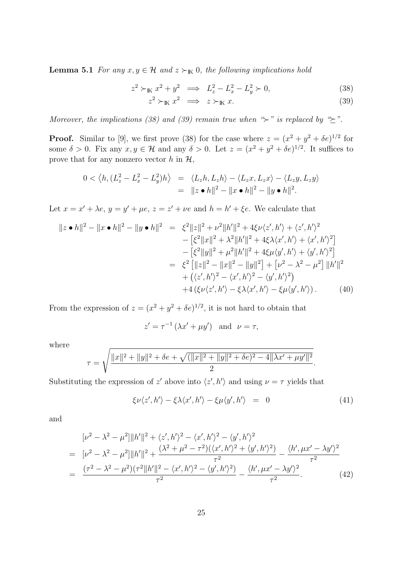**Lemma 5.1** *For any*  $x, y \in \mathcal{H}$  *and*  $z \succ_{\mathbb{K}} 0$ *, the following implications hold* 

$$
z^{2} \succ_{\mathbb{K}} x^{2} + y^{2} \implies L_{z}^{2} - L_{x}^{2} - L_{y}^{2} \succ 0,
$$
\n
$$
z^{2} \succ_{\mathbb{K}} x^{2} \implies z \succ_{\mathbb{K}} x.
$$
\n(38)

*Moreover, the implications (38) and (39) remain true when "<sup>\*</sup>* $\succ$ *" is replaced by "* $\succeq$ *".* 

**Proof.** Similar to [9], we first prove (38) for the case where  $z = (x^2 + y^2 + \delta e)^{1/2}$  for some  $\delta > 0$ . Fix any  $x, y \in \mathcal{H}$  and any  $\delta > 0$ . Let  $z = (x^2 + y^2 + \delta e)^{1/2}$ . It suffices to prove that for any nonzero vector  $h$  in  $H$ ,

$$
0 < \langle h, (L_z^2 - L_x^2 - L_y^2)h \rangle = \langle L_z h, L_z h \rangle - \langle L_z x, L_z x \rangle - \langle L_z y, L_z y \rangle
$$
  
=  $||z \cdot h||^2 - ||x \cdot h||^2 - ||y \cdot h||^2$ .

Let  $x = x' + \lambda e$ ,  $y = y' + \mu e$ ,  $z = z' + \nu e$  and  $h = h' + \xi e$ . We calculate that

$$
||z \bullet h||^{2} - ||x \bullet h||^{2} - ||y \bullet h||^{2} = \xi^{2} ||z||^{2} + \nu^{2} ||h'||^{2} + 4\xi \nu \langle z', h' \rangle + \langle z', h' \rangle^{2}
$$
  
\n
$$
- [\xi^{2} ||x||^{2} + \lambda^{2} ||h'||^{2} + 4\xi \lambda \langle x', h' \rangle + \langle x', h' \rangle^{2}]
$$
  
\n
$$
- [\xi^{2} ||y||^{2} + \mu^{2} ||h'||^{2} + 4\xi \mu \langle y', h' \rangle + \langle y', h' \rangle^{2}]
$$
  
\n
$$
= \xi^{2} [||z||^{2} - ||x||^{2} - ||y||^{2}] + [\nu^{2} - \lambda^{2} - \mu^{2}] ||h'||^{2}
$$
  
\n
$$
+ (\langle z', h' \rangle^{2} - \langle x', h' \rangle^{2} - \langle y', h' \rangle^{2})
$$
  
\n
$$
+ 4 (\xi \nu \langle z', h' \rangle - \xi \lambda \langle x', h' \rangle - \xi \mu \langle y', h' \rangle).
$$
 (40)

From the expression of  $z = (x^2 + y^2 + \delta e)^{1/2}$ , it is not hard to obtain that

$$
z' = \tau^{-1} \left( \lambda x' + \mu y' \right) \text{ and } \nu = \tau,
$$

where

$$
\tau = \sqrt{\frac{||x||^2 + ||y||^2 + \delta e + \sqrt{(||x||^2 + ||y||^2 + \delta e)^2 - 4||\lambda x' + \mu y'||^2}}{2}}.
$$

Substituting the expression of *z'* above into  $\langle z', h' \rangle$  and using  $\nu = \tau$  yields that

$$
\xi \nu \langle z', h' \rangle - \xi \lambda \langle x', h' \rangle - \xi \mu \langle y', h' \rangle = 0 \tag{41}
$$

and

$$
[\nu^2 - \lambda^2 - \mu^2] ||h'||^2 + \langle z', h'\rangle^2 - \langle x', h'\rangle^2 - \langle y', h'\rangle^2
$$
  
= 
$$
[\nu^2 - \lambda^2 - \mu^2] ||h'||^2 + \frac{(\lambda^2 + \mu^2 - \tau^2)(\langle x', h'\rangle^2 + \langle y', h'\rangle^2)}{\tau^2} - \frac{\langle h', \mu x' - \lambda y'\rangle^2}{\tau^2}
$$
  
= 
$$
\frac{(\tau^2 - \lambda^2 - \mu^2)(\tau^2 ||h'||^2 - \langle x', h'\rangle^2 - \langle y', h'\rangle^2)}{\tau^2} - \frac{\langle h', \mu x' - \lambda y'\rangle^2}{\tau^2}.
$$
 (42)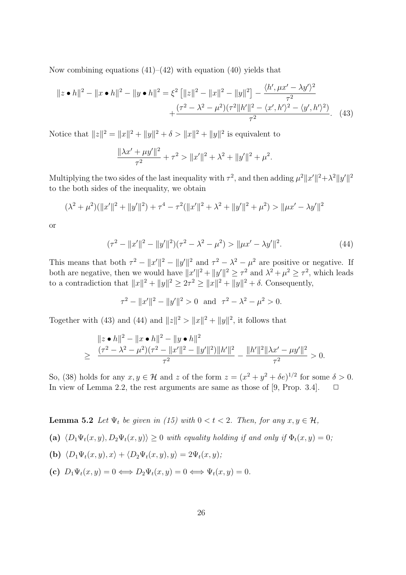Now combining equations  $(41)$ – $(42)$  with equation  $(40)$  yields that

$$
||z \bullet h||^2 - ||x \bullet h||^2 - ||y \bullet h||^2 = \xi^2 \left[ ||z||^2 - ||x||^2 - ||y||^2 \right] - \frac{\langle h', \mu x' - \lambda y' \rangle^2}{\tau^2} + \frac{(\tau^2 - \lambda^2 - \mu^2)(\tau^2 ||h'||^2 - \langle x', h' \rangle^2 - \langle y', h' \rangle^2)}{\tau^2}.
$$
 (43)

Notice that  $||z||^2 = ||x||^2 + ||y||^2 + \delta > ||x||^2 + ||y||^2$  is equivalent to

$$
\frac{\|\lambda x' + \mu y'\|^2}{\tau^2} + \tau^2 > \|x'\|^2 + \lambda^2 + \|y'\|^2 + \mu^2.
$$

Multiplying the two sides of the last inequality with  $\tau^2$ , and then adding  $\mu^2 ||x'||^2 + \lambda^2 ||y'||^2$ to the both sides of the inequality, we obtain

$$
(\lambda^2 + \mu^2)(\|x'\|^2 + \|y'\|^2) + \tau^4 - \tau^2(\|x'\|^2 + \lambda^2 + \|y'\|^2 + \mu^2) > \|\mu x' - \lambda y'\|^2
$$

or

$$
(\tau^2 - ||x'||^2 - ||y'||^2)(\tau^2 - \lambda^2 - \mu^2) > ||\mu x' - \lambda y'||^2.
$$
 (44)

This means that both  $\tau^2 - ||x'||^2 - ||y'||^2$  and  $\tau^2 - \lambda^2 - \mu^2$  are positive or negative. If both are negative, then we would have  $||x'||^2 + ||y'||^2 \geq \tau^2$  and  $\lambda^2 + \mu^2 \geq \tau^2$ , which leads to a contradiction that  $||x||^2 + ||y||^2 \geq 2\tau^2 \geq ||x||^2 + ||y||^2 + \delta$ . Consequently,

$$
\tau^2 - \|x'\|^2 - \|y'\|^2 > 0 \quad \text{and} \quad \tau^2 - \lambda^2 - \mu^2 > 0.
$$

Together with (43) and (44) and  $||z||^2 > ||x||^2 + ||y||^2$ , it follows that

$$
\|z \bullet h\|^2 - \|x \bullet h\|^2 - \|y \bullet h\|^2
$$
  
\n
$$
\geq \frac{(\tau^2 - \lambda^2 - \mu^2)(\tau^2 - \|x'\|^2 - \|y'\|^2) \|h'\|^2}{\tau^2} - \frac{\|h'\|^2 \|\lambda x' - \mu y'\|^2}{\tau^2} > 0.
$$

So, (38) holds for any  $x, y \in \mathcal{H}$  and  $z$  of the form  $z = (x^2 + y^2 + \delta e)^{1/2}$  for some  $\delta > 0$ . In view of Lemma 2.2, the rest arguments are same as those of [9, Prop. 3.4].  $\Box$ 

**Lemma 5.2** *Let*  $\Psi_t$  *be given in (15) with*  $0 < t < 2$ *. Then, for any*  $x, y \in \mathcal{H}$ *,* 

(a) 
$$
\langle D_1 \Psi_t(x, y), D_2 \Psi_t(x, y) \rangle \ge 0
$$
 with equality holding if and only if  $\Phi_t(x, y) = 0$ ;

- **(b)**  $\langle D_1 \Psi_t(x, y), x \rangle + \langle D_2 \Psi_t(x, y), y \rangle = 2\Psi_t(x, y);$
- **(c)**  $D_1 \Psi_t(x, y) = 0 \Longleftrightarrow D_2 \Psi_t(x, y) = 0 \Longleftrightarrow \Psi_t(x, y) = 0.$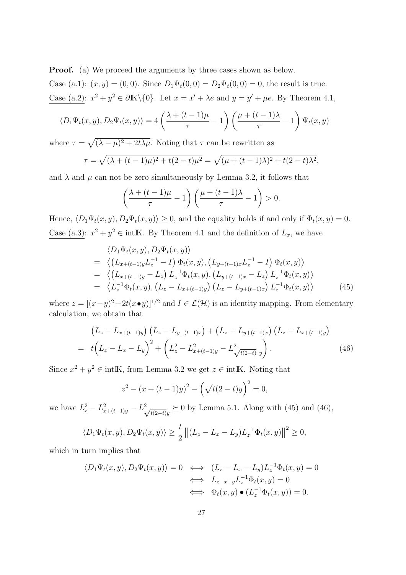**Proof.** (a) We proceed the arguments by three cases shown as below.

Case (a.1):  $(x, y) = (0, 0)$ . Since  $D_1 \Psi_t(0, 0) = D_2 \Psi_t(0, 0) = 0$ , the result is true. Case (a.2):  $x^2 + y^2 \in \partial \mathbb{K} \setminus \{0\}$ . Let  $x = x' + \lambda e$  and  $y = y' + \mu e$ . By Theorem 4.1,

$$
\langle D_1 \Psi_t(x, y), D_2 \Psi_t(x, y) \rangle = 4 \left( \frac{\lambda + (t - 1)\mu}{\tau} - 1 \right) \left( \frac{\mu + (t - 1)\lambda}{\tau} - 1 \right) \Psi_t(x, y)
$$

where  $\tau = \sqrt{(\lambda - \mu)^2 + 2t\lambda\mu}$ . Noting that  $\tau$  can be rewritten as

$$
\tau = \sqrt{(\lambda + (t-1)\mu)^2 + t(2-t)\mu^2} = \sqrt{(\mu + (t-1)\lambda)^2 + t(2-t)\lambda^2},
$$

and  $\lambda$  and  $\mu$  can not be zero simultaneously by Lemma 3.2, it follows that

$$
\left(\frac{\lambda + (t-1)\mu}{\tau} - 1\right) \left(\frac{\mu + (t-1)\lambda}{\tau} - 1\right) > 0.
$$

Hence,  $\langle D_1 \Psi_t(x, y), D_2 \Psi_t(x, y) \rangle \ge 0$ , and the equality holds if and only if  $\Phi_t(x, y) = 0$ . Case (a.3):  $x^2 + y^2 \in \text{intIK}$ . By Theorem 4.1 and the definition of  $L_x$ , we have

$$
\langle D_1 \Psi_t(x, y), D_2 \Psi_t(x, y) \rangle \n= \langle (L_{x+(t-1)y} L_z^{-1} - I) \Phi_t(x, y), (L_{y+(t-1)x} L_z^{-1} - I) \Phi_t(x, y) \rangle \n= \langle (L_{x+(t-1)y} - L_z) L_z^{-1} \Phi_t(x, y), (L_{y+(t-1)x} - L_z) L_z^{-1} \Phi_t(x, y) \rangle \n= \langle L_z^{-1} \Phi_t(x, y), (L_z - L_{x+(t-1)y}) (L_z - L_{y+(t-1)x}) L_z^{-1} \Phi_t(x, y) \rangle
$$
\n(45)

where  $z = [(x - y)^2 + 2t(x • y)]^{1/2}$  and  $I ∈ \mathcal{L}(\mathcal{H})$  is an identity mapping. From elementary calculation, we obtain that

$$
\begin{aligned}\n\left(L_z - L_{x+(t-1)y}\right) \left(L_z - L_{y+(t-1)x}\right) + \left(L_z - L_{y+(t-1)x}\right) \left(L_z - L_{x+(t-1)y}\right) \\
= \ t \left(L_z - L_x - L_y\right)^2 + \left(L_z^2 - L_{x+(t-1)y}^2 - L_{\sqrt{t(2-t)}}^2 \right).\n\end{aligned} \tag{46}
$$

Since  $x^2 + y^2 \in \text{intIK}$ , from Lemma 3.2 we get  $z \in \text{intIK}$ . Noting that

$$
z^{2} - (x + (t - 1)y)^{2} - \left(\sqrt{t(2 - t)}y\right)^{2} = 0,
$$

we have  $L_z^2 - L_{x+(t-1)y}^2 - L_{\sqrt{2}}^2$  $t_{\overline{t(2-t)}y}$  ≥ 0 by Lemma 5.1. Along with (45) and (46),

$$
\langle D_1 \Psi_t(x, y), D_2 \Psi_t(x, y) \rangle \ge \frac{t}{2} ||(L_z - L_x - L_y)L_z^{-1} \Phi_t(x, y)||^2 \ge 0,
$$

which in turn implies that

$$
\langle D_1 \Psi_t(x, y), D_2 \Psi_t(x, y) \rangle = 0 \iff (L_z - L_x - L_y)L_z^{-1} \Phi_t(x, y) = 0
$$
  

$$
\iff L_{z-x-y} L_z^{-1} \Phi_t(x, y) = 0
$$
  

$$
\iff \Phi_t(x, y) \bullet (L_z^{-1} \Phi_t(x, y)) = 0.
$$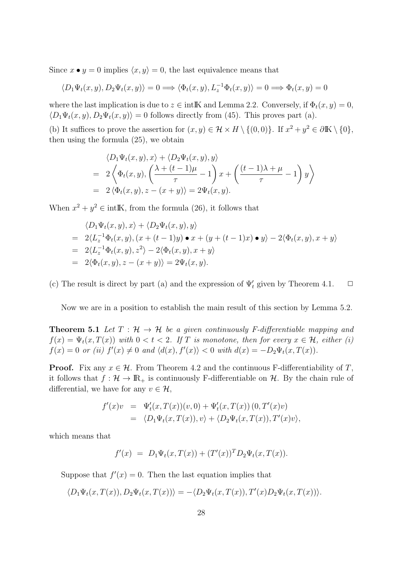Since  $x \bullet y = 0$  implies  $\langle x, y \rangle = 0$ , the last equivalence means that

$$
\langle D_1 \Psi_t(x, y), D_2 \Psi_t(x, y) \rangle = 0 \Longrightarrow \langle \Phi_t(x, y), L_z^{-1} \Phi_t(x, y) \rangle = 0 \Longrightarrow \Phi_t(x, y) = 0
$$

where the last implication is due to  $z \in \text{int } \mathbb{K}$  and Lemma 2.2. Conversely, if  $\Phi_t(x, y) = 0$ ,  $\langle D_1 \Psi_t(x, y), D_2 \Psi_t(x, y) \rangle = 0$  follows directly from (45). This proves part (a).

(b) It suffices to prove the assertion for  $(x, y) \in \mathcal{H} \times H \setminus \{(0, 0)\}\$ . If  $x^2 + y^2 \in \partial \mathbb{K} \setminus \{0\}$ , then using the formula (25), we obtain

$$
\langle D_1 \Psi_t(x, y), x \rangle + \langle D_2 \Psi_t(x, y), y \rangle
$$
  
=  $2 \left\langle \Phi_t(x, y), \left( \frac{\lambda + (t - 1)\mu}{\tau} - 1 \right) x + \left( \frac{(t - 1)\lambda + \mu}{\tau} - 1 \right) y \right\rangle$   
=  $2 \left\langle \Phi_t(x, y), z - (x + y) \right\rangle = 2\Psi_t(x, y).$ 

When  $x^2 + y^2 \in \text{int } \mathbb{K}$ , from the formula (26), it follows that

$$
\langle D_1 \Psi_t(x, y), x \rangle + \langle D_2 \Psi_t(x, y), y \rangle
$$
  
= 2\langle L\_z^{-1} \Phi\_t(x, y), (x + (t - 1)y) \bullet x + (y + (t - 1)x) \bullet y \rangle - 2\langle \Phi\_t(x, y), x + y \rangle  
= 2\langle L\_z^{-1} \Phi\_t(x, y), z^2 \rangle - 2\langle \Phi\_t(x, y), x + y \rangle  
= 2\langle \Phi\_t(x, y), z - (x + y) \rangle = 2\Psi\_t(x, y).

(c) The result is direct by part (a) and the expression of  $\Psi'_{t}$  given by Theorem 4.1.  $\Box$ 

Now we are in a position to establish the main result of this section by Lemma 5.2.

**Theorem 5.1** *Let*  $T : \mathcal{H} \to \mathcal{H}$  *be a given continuously F-differentiable mapping and*  $f(x) = \Psi_t(x, T(x))$  *with*  $0 < t < 2$ . If T is monotone, then for every  $x \in \mathcal{H}$ , either (i)  $f(x) = 0$  or (ii)  $f'(x) \neq 0$  and  $\langle d(x), f'(x) \rangle < 0$  with  $d(x) = -D_2 \Psi_t(x, T(x))$ .

**Proof.** Fix any  $x \in \mathcal{H}$ . From Theorem 4.2 and the continuous F-differentiability of *T*, it follows that  $f: \mathcal{H} \to \mathbb{R}_+$  is continuously F-differentiable on  $\mathcal{H}$ . By the chain rule of differential, we have for any  $v \in \mathcal{H}$ ,

$$
f'(x)v = \Psi'_t(x, T(x))(v, 0) + \Psi'_t(x, T(x))(0, T'(x)v)
$$
  
= 
$$
\langle D_1\Psi_t(x, T(x)), v \rangle + \langle D_2\Psi_t(x, T(x)), T'(x)v \rangle,
$$

which means that

$$
f'(x) = D_1 \Psi_t(x, T(x)) + (T'(x))^T D_2 \Psi_t(x, T(x)).
$$

Suppose that  $f'(x) = 0$ . Then the last equation implies that

$$
\langle D_1 \Psi_t(x, T(x)), D_2 \Psi_t(x, T(x)) \rangle = - \langle D_2 \Psi_t(x, T(x)), T'(x) D_2 \Psi_t(x, T(x)) \rangle.
$$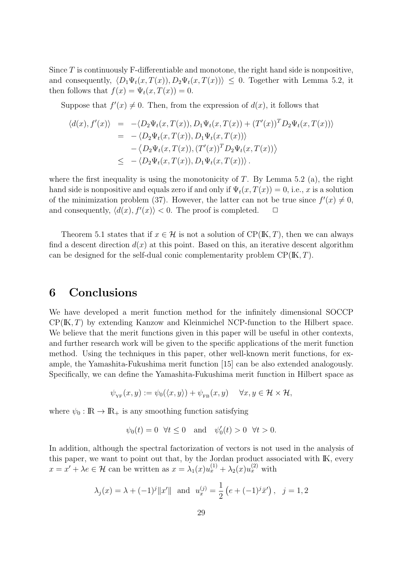Since *T* is continuously F-differentiable and monotone, the right hand side is nonpositive, and consequently,  $\langle D_1 \Psi_t(x, T(x)), D_2 \Psi_t(x, T(x)) \rangle \leq 0$ . Together with Lemma 5.2, it then follows that  $f(x) = \Psi_t(x, T(x)) = 0$ .

Suppose that  $f'(x) \neq 0$ . Then, from the expression of  $d(x)$ , it follows that

$$
\langle d(x), f'(x) \rangle = -\langle D_2 \Psi_t(x, T(x)), D_1 \Psi_t(x, T(x)) + (T'(x))^T D_2 \Psi_t(x, T(x)) \rangle
$$
  
\n
$$
= -\langle D_2 \Psi_t(x, T(x)), D_1 \Psi_t(x, T(x)) \rangle
$$
  
\n
$$
- \langle D_2 \Psi_t(x, T(x)), (T'(x))^T D_2 \Psi_t(x, T(x)) \rangle
$$
  
\n
$$
\leq -\langle D_2 \Psi_t(x, T(x)), D_1 \Psi_t(x, T(x)) \rangle.
$$

where the first inequality is using the monotonicity of *T*. By Lemma 5.2 (a), the right hand side is nonpositive and equals zero if and only if  $\Psi_t(x,T(x)) = 0$ , i.e., *x* is a solution of the minimization problem (37). However, the latter can not be true since  $f'(x) \neq 0$ , and consequently,  $\langle d(x), f'(x) \rangle < 0$ . The proof is completed.  $\Box$ 

Theorem 5.1 states that if  $x \in \mathcal{H}$  is not a solution of  $\text{CP}(\mathbb{K}, T)$ , then we can always find a descent direction  $d(x)$  at this point. Based on this, an iterative descent algorithm can be designed for the self-dual conic complementarity problem CP(IK*, T*).

## **6 Conclusions**

We have developed a merit function method for the infinitely dimensional SOCCP CP(IK*, T*) by extending Kanzow and Kleinmichel NCP-function to the Hilbert space. We believe that the merit functions given in this paper will be useful in other contexts, and further research work will be given to the specific applications of the merit function method. Using the techniques in this paper, other well-known merit functions, for example, the Yamashita-Fukushima merit function [15] can be also extended analogously. Specifically, we can define the Yamashita-Fukushima merit function in Hilbert space as

$$
\psi_{\mathsf{YF}}(x,y) := \psi_0(\langle x,y \rangle) + \psi_{\mathsf{FB}}(x,y) \quad \forall x,y \in \mathcal{H} \times \mathcal{H},
$$

where  $\psi_0 : \mathbb{R} \to \mathbb{R}_+$  is any smoothing function satisfying

$$
\psi_0(t) = 0 \quad \forall t \le 0 \quad \text{and} \quad \psi_0'(t) > 0 \quad \forall t > 0.
$$

In addition, although the spectral factorization of vectors is not used in the analysis of this paper, we want to point out that, by the Jordan product associated with IK, every  $x = x' + \lambda e \in \mathcal{H}$  can be written as  $x = \lambda_1(x)u_x^{(1)} + \lambda_2(x)u_x^{(2)}$  with

$$
\lambda_j(x) = \lambda + (-1)^j ||x'||
$$
 and  $u_x^{(j)} = \frac{1}{2} (e + (-1)^j \bar{x}')$ ,  $j = 1, 2$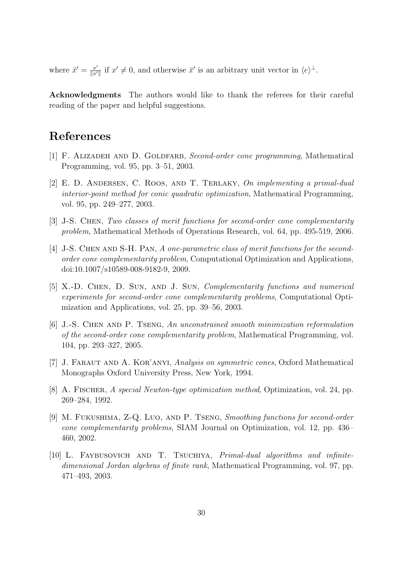where  $\bar{x}' = \frac{x'}{\|x\|}$  $\frac{x'}{\|x'\|}$  if  $x' \neq 0$ , and otherwise  $\bar{x}'$  is an arbitrary unit vector in  $\langle e \rangle^{\perp}$ .

**Acknowledgments** The authors would like to thank the referees for their careful reading of the paper and helpful suggestions.

# **References**

- [1] F. ALIZADEH AND D. GOLDFARB, *Second-order cone programming*, Mathematical Programming, vol. 95, pp. 3–51, 2003.
- [2] E. D. Andersen, C. Roos, and T. Terlaky, *On implementing a primal-dual interior-point method for conic quadratic optimization*, Mathematical Programming, vol. 95, pp. 249–277, 2003.
- [3] J-S. Chen, *Two classes of merit functions for second-order cone complementarity problem*, Mathematical Methods of Operations Research, vol. 64, pp. 495-519, 2006.
- [4] J-S. Chen and S-H. Pan, *A one-parametric class of merit functions for the secondorder cone complementarity problem*, Computational Optimization and Applications, doi:10.1007/s10589-008-9182-9, 2009.
- [5] X.-D. Chen, D. Sun, and J. Sun, *Complementarity functions and numerical experiments for second-order cone complementarity problems*, Computational Optimization and Applications, vol. 25, pp. 39–56, 2003.
- [6] J.-S. Chen and P. Tseng, *An unconstrained smooth minimization reformulation of the second-order cone complementarity problem*, Mathematical Programming, vol. 104, pp. 293–327, 2005.
- [7] J. Faraut and A. Kor'anyi, *Analysis on symmetric cones*, Oxford Mathematical Monographs Oxford University Press, New York, 1994.
- [8] A. Fischer, *A special Newton-type optimization method*, Optimization, vol. 24, pp. 269–284, 1992.
- [9] M. Fukushima, Z-Q. Luo, and P. Tseng, *Smoothing functions for second-order cone complementarity problems*, SIAM Journal on Optimization, vol. 12, pp. 436– 460, 2002.
- [10] L. FAYBUSOVICH AND T. TSUCHIYA, *Primal-dual algorithms and infinitedimensional Jordan algebras of finite rank*, Mathematical Programming, vol. 97, pp. 471–493, 2003.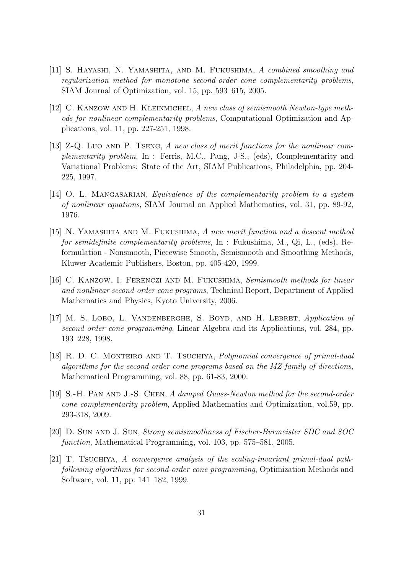- [11] S. Hayashi, N. Yamashita, and M. Fukushima, *A combined smoothing and regularization method for monotone second-order cone complementarity problems*, SIAM Journal of Optimization, vol. 15, pp. 593–615, 2005.
- [12] C. Kanzow and H. Kleinmichel, *A new class of semismooth Newton-type methods for nonlinear complementarity problems*, Computational Optimization and Applications, vol. 11, pp. 227-251, 1998.
- [13] Z-Q. Luo AND P. TSENG, A new class of merit functions for the nonlinear com*plementarity problem*, In : Ferris, M.C., Pang, J-S., (eds), Complementarity and Variational Problems: State of the Art, SIAM Publications, Philadelphia, pp. 204- 225, 1997.
- [14] O. L. Mangasarian, *Equivalence of the complementarity problem to a system of nonlinear equations*, SIAM Journal on Applied Mathematics, vol. 31, pp. 89-92, 1976.
- [15] N. Yamashita and M. Fukushima, *A new merit function and a descent method for semidefinite complementarity problems*, In : Fukushima, M., Qi, L., (eds), Reformulation - Nonsmooth, Piecewise Smooth, Semismooth and Smoothing Methods, Kluwer Academic Publishers, Boston, pp. 405-420, 1999.
- [16] C. Kanzow, I. Ferenczi and M. Fukushima, *Semismooth methods for linear and nonlinear second-order cone programs*, Technical Report, Department of Applied Mathematics and Physics, Kyoto University, 2006.
- [17] M. S. Lobo, L. Vandenberghe, S. Boyd, and H. Lebret, *Application of second-order cone programming*, Linear Algebra and its Applications, vol. 284, pp. 193–228, 1998.
- [18] R. D. C. Monteiro and T. Tsuchiya, *Polynomial convergence of primal-dual algorithms for the second-order cone programs based on the MZ-family of directions*, Mathematical Programming, vol. 88, pp. 61-83, 2000.
- [19] S.-H. Pan and J.-S. Chen, *A damped Guass-Newton method for the second-order cone complementarity problem*, Applied Mathematics and Optimization, vol.59, pp. 293-318, 2009.
- [20] D. Sun and J. Sun, *Strong semismoothness of Fischer-Burmeister SDC and SOC function*, Mathematical Programming, vol. 103, pp. 575–581, 2005.
- [21] T. TSUCHIYA, A convergence analysis of the scaling-invariant primal-dual path*following algorithms for second-order cone programming*, Optimization Methods and Software, vol. 11, pp. 141–182, 1999.